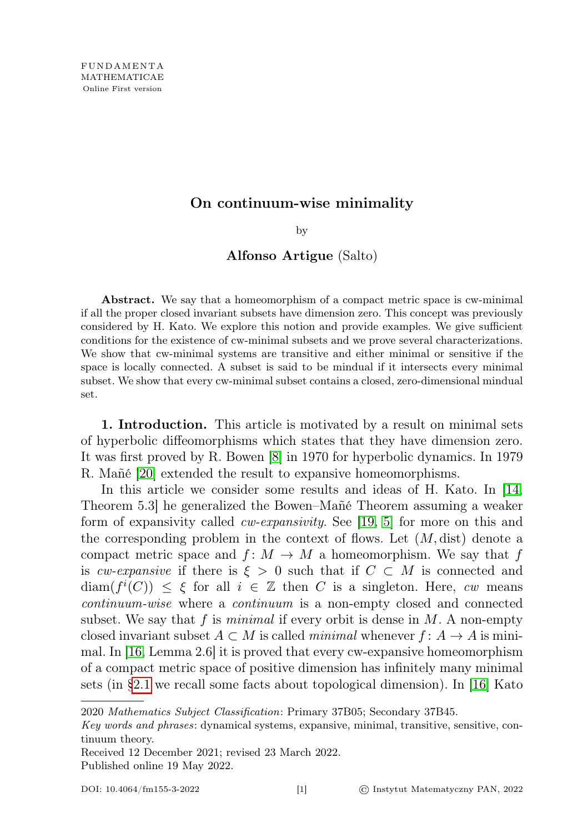# On continuum-wise minimality

by

## Alfonso Artigue (Salto)

Abstract. We say that a homeomorphism of a compact metric space is cw-minimal if all the proper closed invariant subsets have dimension zero. This concept was previously considered by H. Kato. We explore this notion and provide examples. We give sufficient conditions for the existence of cw-minimal subsets and we prove several characterizations. We show that cw-minimal systems are transitive and either minimal or sensitive if the space is locally connected. A subset is said to be mindual if it intersects every minimal subset. We show that every cw-minimal subset contains a closed, zero-dimensional mindual set.

1. Introduction. This article is motivated by a result on minimal sets of hyperbolic diffeomorphisms which states that they have dimension zero. It was first proved by R. Bowen [\[8\]](#page-23-0) in 1970 for hyperbolic dynamics. In 1979 R. Mañé [\[20\]](#page-24-0) extended the result to expansive homeomorphisms.

In this article we consider some results and ideas of H. Kato. In [\[14,](#page-24-1) Theorem 5.3] he generalized the Bowen–Mañé Theorem assuming a weaker form of expansivity called cw-expansivity. See [\[19,](#page-24-2) [5\]](#page-23-1) for more on this and the corresponding problem in the context of flows. Let  $(M, dist)$  denote a compact metric space and  $f: M \to M$  a homeomorphism. We say that f is cw-expansive if there is  $\xi > 0$  such that if  $C \subset M$  is connected and  $\text{diam}(f^{i}(C)) \leq \xi$  for all  $i \in \mathbb{Z}$  then C is a singleton. Here, cw means continuum-wise where a continuum is a non-empty closed and connected subset. We say that f is minimal if every orbit is dense in  $M$ . A non-empty closed invariant subset  $A \subset M$  is called minimal whenever  $f: A \to A$  is minimal. In [\[16,](#page-24-3) Lemma 2.6] it is proved that every cw-expansive homeomorphism of a compact metric space of positive dimension has infinitely many minimal sets (in [§2.1](#page-2-0) we recall some facts about topological dimension). In [\[16\]](#page-24-3) Kato

2020 Mathematics Subject Classification: Primary 37B05; Secondary 37B45.

Received 12 December 2021; revised 23 March 2022. Published online 19 May 2022.

Key words and phrases: dynamical systems, expansive, minimal, transitive, sensitive, continuum theory.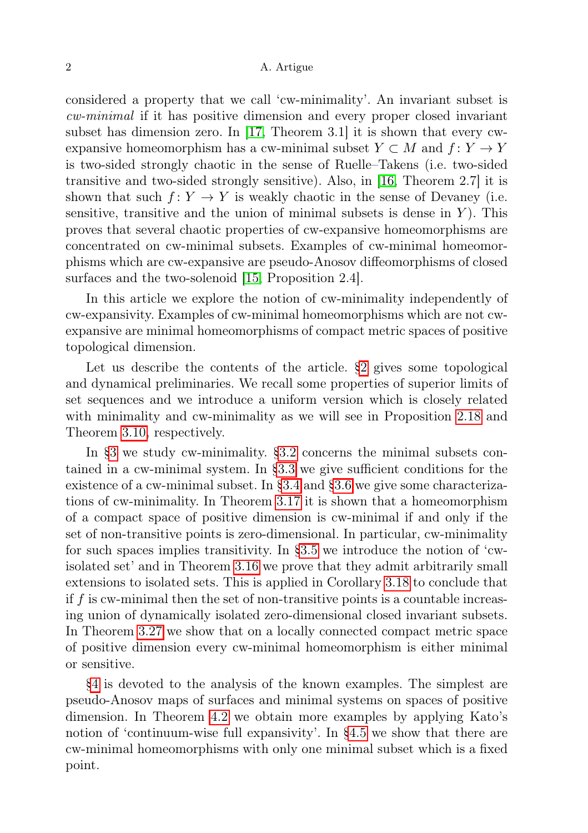considered a property that we call 'cw-minimality'. An invariant subset is cw-minimal if it has positive dimension and every proper closed invariant subset has dimension zero. In [\[17,](#page-24-4) Theorem 3.1] it is shown that every cwexpansive homeomorphism has a cw-minimal subset  $Y \subset M$  and  $f: Y \to Y$ is two-sided strongly chaotic in the sense of Ruelle–Takens (i.e. two-sided transitive and two-sided strongly sensitive). Also, in [\[16,](#page-24-3) Theorem 2.7] it is shown that such  $f: Y \to Y$  is weakly chaotic in the sense of Devaney (i.e. sensitive, transitive and the union of minimal subsets is dense in  $Y$ ). This proves that several chaotic properties of cw-expansive homeomorphisms are concentrated on cw-minimal subsets. Examples of cw-minimal homeomorphisms which are cw-expansive are pseudo-Anosov diffeomorphisms of closed surfaces and the two-solenoid [\[15,](#page-24-5) Proposition 2.4].

In this article we explore the notion of cw-minimality independently of cw-expansivity. Examples of cw-minimal homeomorphisms which are not cwexpansive are minimal homeomorphisms of compact metric spaces of positive topological dimension.

Let us describe the contents of the article. [§2](#page-2-1) gives some topological and dynamical preliminaries. We recall some properties of superior limits of set sequences and we introduce a uniform version which is closely related with minimality and cw-minimality as we will see in Proposition [2.18](#page-6-0) and Theorem [3.10,](#page-11-0) respectively.

In [§3](#page-8-0) we study cw-minimality. [§3.2](#page-9-0) concerns the minimal subsets contained in a cw-minimal system. In [§3.3](#page-10-0) we give sufficient conditions for the existence of a cw-minimal subset. In [§3.4](#page-11-1) and [§3.6](#page-14-0) we give some characterizations of cw-minimality. In Theorem [3.17](#page-14-1) it is shown that a homeomorphism of a compact space of positive dimension is cw-minimal if and only if the set of non-transitive points is zero-dimensional. In particular, cw-minimality for such spaces implies transitivity. In [§3.5](#page-12-0) we introduce the notion of 'cwisolated set' and in Theorem [3.16](#page-13-0) we prove that they admit arbitrarily small extensions to isolated sets. This is applied in Corollary [3.18](#page-14-2) to conclude that if  $f$  is cw-minimal then the set of non-transitive points is a countable increasing union of dynamically isolated zero-dimensional closed invariant subsets. In Theorem [3.27](#page-17-0) we show that on a locally connected compact metric space of positive dimension every cw-minimal homeomorphism is either minimal or sensitive.

[§4](#page-18-0) is devoted to the analysis of the known examples. The simplest are pseudo-Anosov maps of surfaces and minimal systems on spaces of positive dimension. In Theorem [4.2](#page-19-0) we obtain more examples by applying Kato's notion of 'continuum-wise full expansivity'. In [§4.5](#page-20-0) we show that there are cw-minimal homeomorphisms with only one minimal subset which is a fixed point.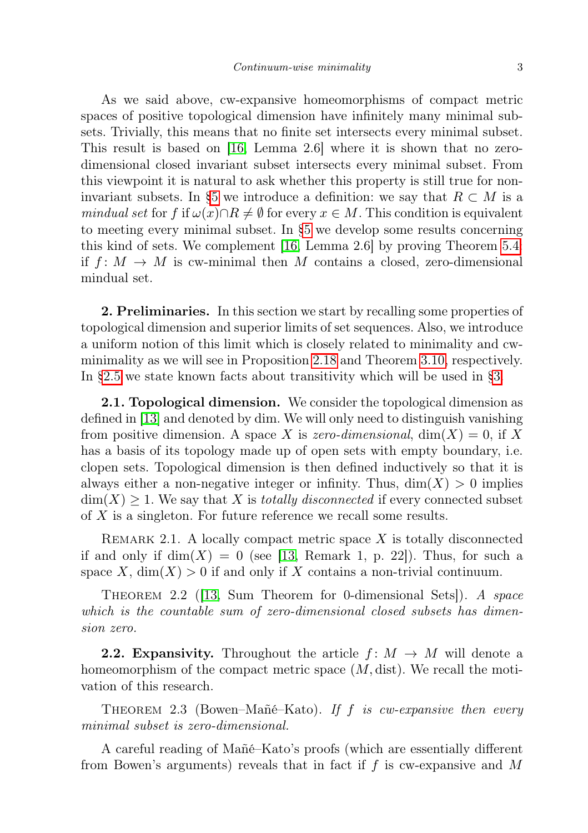As we said above, cw-expansive homeomorphisms of compact metric spaces of positive topological dimension have infinitely many minimal subsets. Trivially, this means that no finite set intersects every minimal subset. This result is based on [\[16,](#page-24-3) Lemma 2.6] where it is shown that no zerodimensional closed invariant subset intersects every minimal subset. From this viewpoint it is natural to ask whether this property is still true for non-invariant subsets. In [§5](#page-21-0) we introduce a definition: we say that  $R \subset M$  is a mindual set for f if  $\omega(x)\cap R\neq\emptyset$  for every  $x\in M$ . This condition is equivalent to meeting every minimal subset. In [§5](#page-21-0) we develop some results concerning this kind of sets. We complement [\[16,](#page-24-3) Lemma 2.6] by proving Theorem [5.4:](#page-22-0) if  $f: M \to M$  is cw-minimal then M contains a closed, zero-dimensional mindual set.

<span id="page-2-1"></span>2. Preliminaries. In this section we start by recalling some properties of topological dimension and superior limits of set sequences. Also, we introduce a uniform notion of this limit which is closely related to minimality and cwminimality as we will see in Proposition [2.18](#page-6-0) and Theorem [3.10,](#page-11-0) respectively. In [§2.5](#page-7-0) we state known facts about transitivity which will be used in [§3.](#page-8-0)

<span id="page-2-0"></span>2.1. Topological dimension. We consider the topological dimension as defined in [\[13\]](#page-24-6) and denoted by dim. We will only need to distinguish vanishing from positive dimension. A space X is zero-dimensional,  $dim(X) = 0$ , if X has a basis of its topology made up of open sets with empty boundary, i.e. clopen sets. Topological dimension is then defined inductively so that it is always either a non-negative integer or infinity. Thus,  $\dim(X) > 0$  implies  $\dim(X) \geq 1$ . We say that X is *totally disconnected* if every connected subset of X is a singleton. For future reference we recall some results.

<span id="page-2-4"></span>REMARK 2.1. A locally compact metric space  $X$  is totally disconnected if and only if  $\dim(X) = 0$  (see [\[13,](#page-24-6) Remark 1, p. 22]). Thus, for such a space X,  $\dim(X) > 0$  if and only if X contains a non-trivial continuum.

<span id="page-2-3"></span>THEOREM 2.2 (13, Sum Theorem for 0-dimensional Sets). A space which is the countable sum of zero-dimensional closed subsets has dimension zero.

**2.2. Expansivity.** Throughout the article  $f: M \rightarrow M$  will denote a homeomorphism of the compact metric space  $(M, dist)$ . We recall the motivation of this research.

<span id="page-2-2"></span>THEOREM 2.3 (Bowen–Mañé–Kato). If f is cw-expansive then every minimal subset is zero-dimensional.

A careful reading of Mañé–Kato's proofs (which are essentially different from Bowen's arguments) reveals that in fact if  $f$  is cw-expansive and  $M$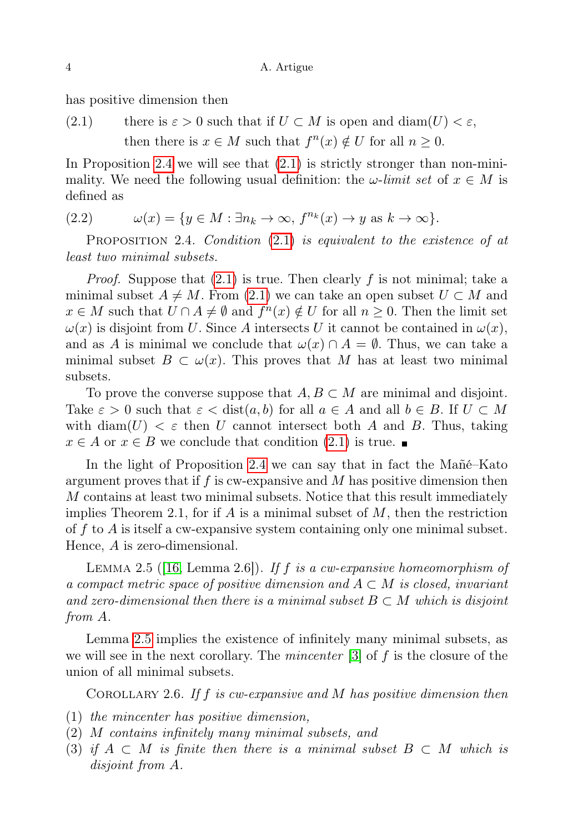has positive dimension then

<span id="page-3-1"></span>(2.1) there is  $\varepsilon > 0$  such that if  $U \subset M$  is open and  $\text{diam}(U) < \varepsilon$ , then there is  $x \in M$  such that  $f^{n}(x) \notin U$  for all  $n \geq 0$ .

In Proposition [2.4](#page-3-0) we will see that  $(2.1)$  is strictly stronger than non-minimality. We need the following usual definition: the  $\omega$ -limit set of  $x \in M$  is defined as

<span id="page-3-3"></span>(2.2) 
$$
\omega(x) = \{ y \in M : \exists n_k \to \infty, f^{n_k}(x) \to y \text{ as } k \to \infty \}.
$$

<span id="page-3-0"></span>PROPOSITION 2.4. Condition  $(2.1)$  is equivalent to the existence of at least two minimal subsets.

*Proof.* Suppose that  $(2.1)$  is true. Then clearly f is not minimal; take a minimal subset  $A \neq M$ . From [\(2.1\)](#page-3-1) we can take an open subset  $U \subset M$  and  $x \in M$  such that  $U \cap A \neq \emptyset$  and  $f^{n}(x) \notin U$  for all  $n \geq 0$ . Then the limit set  $\omega(x)$  is disjoint from U. Since A intersects U it cannot be contained in  $\omega(x)$ , and as A is minimal we conclude that  $\omega(x) \cap A = \emptyset$ . Thus, we can take a minimal subset  $B \subset \omega(x)$ . This proves that M has at least two minimal subsets.

To prove the converse suppose that  $A, B \subset M$  are minimal and disjoint. Take  $\varepsilon > 0$  such that  $\varepsilon < \text{dist}(a, b)$  for all  $a \in A$  and all  $b \in B$ . If  $U \subset M$ with diam(U)  $\lt \varepsilon$  then U cannot intersect both A and B. Thus, taking  $x \in A$  or  $x \in B$  we conclude that condition  $(2.1)$  is true.

In the light of Proposition [2.4](#page-3-0) we can say that in fact the Mañé–Kato argument proves that if f is cw-expansive and M has positive dimension then M contains at least two minimal subsets. Notice that this result immediately implies Theorem 2.1, for if  $A$  is a minimal subset of  $M$ , then the restriction of f to A is itself a cw-expansive system containing only one minimal subset. Hence, A is zero-dimensional.

<span id="page-3-2"></span>LEMMA 2.5 ([\[16,](#page-24-3) Lemma 2.6]). If f is a cw-expansive homeomorphism of a compact metric space of positive dimension and  $A \subset M$  is closed, invariant and zero-dimensional then there is a minimal subset  $B \subset M$  which is disjoint from A.

Lemma [2.5](#page-3-2) implies the existence of infinitely many minimal subsets, as we will see in the next corollary. The *mincenter*  $[3]$  of f is the closure of the union of all minimal subsets.

COROLLARY 2.6. If f is cw-expansive and M has positive dimension then

- (1) the mincenter has positive dimension,
- (2) M contains infinitely many minimal subsets, and
- (3) if  $A \subset M$  is finite then there is a minimal subset  $B \subset M$  which is disjoint from A.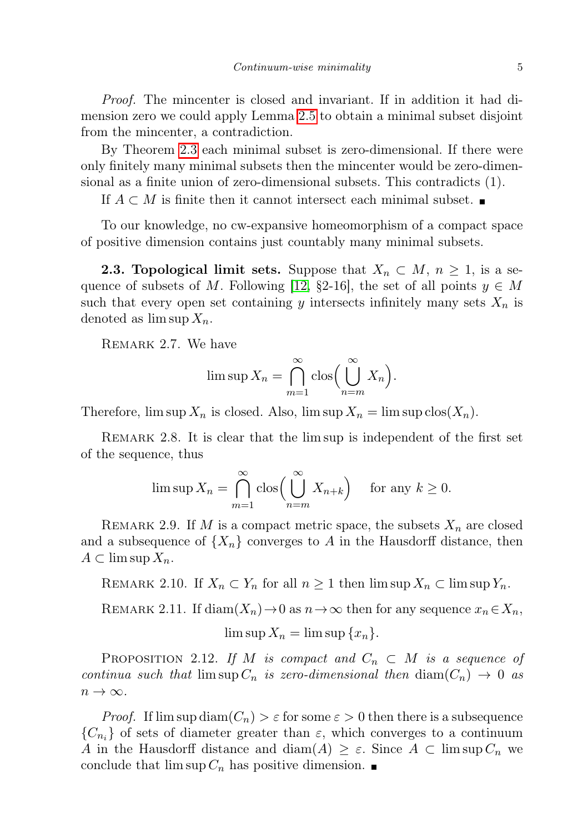Proof. The mincenter is closed and invariant. If in addition it had dimension zero we could apply Lemma [2.5](#page-3-2) to obtain a minimal subset disjoint from the mincenter, a contradiction.

By Theorem [2.3](#page-2-2) each minimal subset is zero-dimensional. If there were only finitely many minimal subsets then the mincenter would be zero-dimensional as a finite union of zero-dimensional subsets. This contradicts (1).

If  $A \subset M$  is finite then it cannot intersect each minimal subset.

To our knowledge, no cw-expansive homeomorphism of a compact space of positive dimension contains just countably many minimal subsets.

**2.3. Topological limit sets.** Suppose that  $X_n \subset M$ ,  $n \geq 1$ , is a se-quence of subsets of M. Following [\[12,](#page-23-3) §2-16], the set of all points  $y \in M$ such that every open set containing y intersects infinitely many sets  $X_n$  is denoted as  $\limsup X_n$ .

<span id="page-4-2"></span>REMARK 2.7. We have

$$
\limsup X_n = \bigcap_{m=1}^{\infty} \cos \left( \bigcup_{n=m}^{\infty} X_n \right).
$$

Therefore,  $\limsup X_n$  is closed. Also,  $\limsup X_n = \limsup \text{clos}(X_n)$ .

<span id="page-4-3"></span>REMARK 2.8. It is clear that the lim sup is independent of the first set of the sequence, thus

$$
\limsup X_n = \bigcap_{m=1}^{\infty} \cos \left( \bigcup_{n=m}^{\infty} X_{n+k} \right) \quad \text{for any } k \ge 0.
$$

REMARK 2.9. If M is a compact metric space, the subsets  $X_n$  are closed and a subsequence of  $\{X_n\}$  converges to A in the Hausdorff distance, then  $A \subset \limsup X_n$ .

<span id="page-4-0"></span>REMARK 2.10. If  $X_n \subset Y_n$  for all  $n \geq 1$  then  $\limsup X_n \subset \limsup Y_n$ .

<span id="page-4-1"></span>REMARK 2.11. If  $\text{diam}(X_n) \to 0$  as  $n \to \infty$  then for any sequence  $x_n \in X_n$ ,

$$
\limsup X_n = \limsup \{x_n\}.
$$

<span id="page-4-4"></span>PROPOSITION 2.12. If M is compact and  $C_n \subset M$  is a sequence of continua such that  $\limsup C_n$  is zero-dimensional then  $\dim(C_n) \to 0$  as  $n \to \infty$ .

*Proof.* If  $\limsup \text{diam}(C_n) > \varepsilon$  for some  $\varepsilon > 0$  then there is a subsequence  ${C_{n_i}}$  of sets of diameter greater than  $\varepsilon$ , which converges to a continuum A in the Hausdorff distance and diam(A)  $\geq \varepsilon$ . Since  $A \subset \limsup C_n$  we conclude that  $\limsup C_n$  has positive dimension.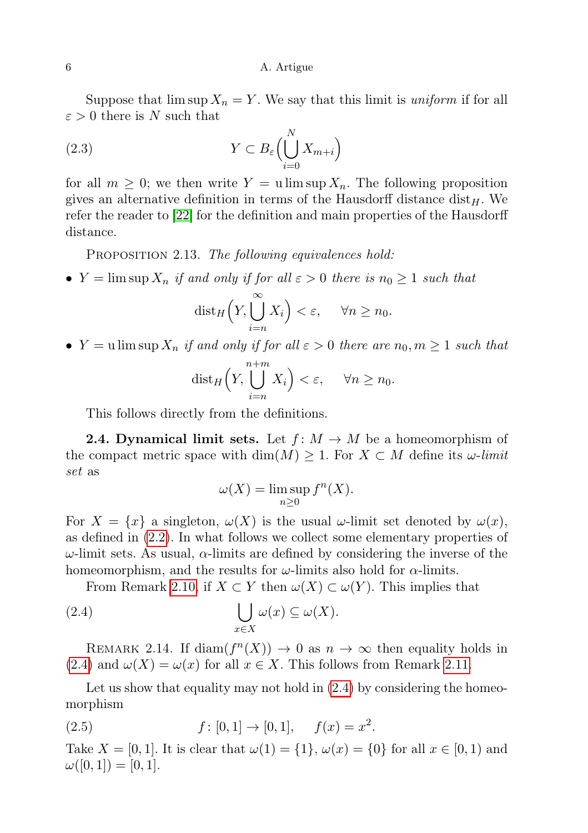<span id="page-5-3"></span>Suppose that  $\limsup X_n = Y$ . We say that this limit is *uniform* if for all  $\varepsilon > 0$  there is N such that

(2.3) 
$$
Y \subset B_{\varepsilon} \Bigl( \bigcup_{i=0}^{N} X_{m+i} \Bigr)
$$

for all  $m \geq 0$ ; we then write  $Y = u \limsup X_n$ . The following proposition gives an alternative definition in terms of the Hausdorff distance  $dist_H$ . We refer the reader to [\[22\]](#page-24-7) for the definition and main properties of the Hausdorff distance.

<span id="page-5-1"></span>PROPOSITION 2.13. The following equivalences hold:

•  $Y = \limsup X_n$  if and only if for all  $\varepsilon > 0$  there is  $n_0 \ge 1$  such that

$$
\text{dist}_H\Big(Y,\bigcup_{i=n}^{\infty}X_i\Big)<\varepsilon,\quad \forall n\geq n_0.
$$

•  $Y = u \limsup X_n$  if and only if for all  $\varepsilon > 0$  there are  $n_0, m \ge 1$  such that

$$
\text{dist}_H\Big(Y,\bigcup_{i=n}^{n+m}X_i\Big)<\varepsilon,\quad \forall n\geq n_0.
$$

This follows directly from the definitions.

**2.4. Dynamical limit sets.** Let  $f: M \to M$  be a homeomorphism of the compact metric space with  $\dim(M) \geq 1$ . For  $X \subset M$  define its  $\omega$ -limit set as

<span id="page-5-0"></span>
$$
\omega(X) = \limsup_{n \ge 0} f^n(X).
$$

For  $X = \{x\}$  a singleton,  $\omega(X)$  is the usual  $\omega$ -limit set denoted by  $\omega(x)$ , as defined in [\(2.2\)](#page-3-3). In what follows we collect some elementary properties of  $\omega$ -limit sets. As usual,  $\alpha$ -limits are defined by considering the inverse of the homeomorphism, and the results for  $\omega$ -limits also hold for  $\alpha$ -limits.

From Remark [2.10,](#page-4-0) if  $X \subset Y$  then  $\omega(X) \subset \omega(Y)$ . This implies that

(2.4) 
$$
\bigcup_{x \in X} \omega(x) \subseteq \omega(X).
$$

<span id="page-5-2"></span>REMARK 2.14. If  $\text{diam}(f^n(X)) \to 0$  as  $n \to \infty$  then equality holds in  $(2.4)$  and  $\omega(X) = \omega(x)$  for all  $x \in X$ . This follows from Remark [2.11.](#page-4-1)

Let us show that equality may not hold in  $(2.4)$  by considering the homeomorphism

(2.5)  $f : [0, 1] \rightarrow [0, 1], \quad f(x) = x^2.$ 

Take  $X = [0, 1]$ . It is clear that  $\omega(1) = \{1\}, \omega(x) = \{0\}$  for all  $x \in [0, 1)$  and  $\omega([0, 1]) = [0, 1].$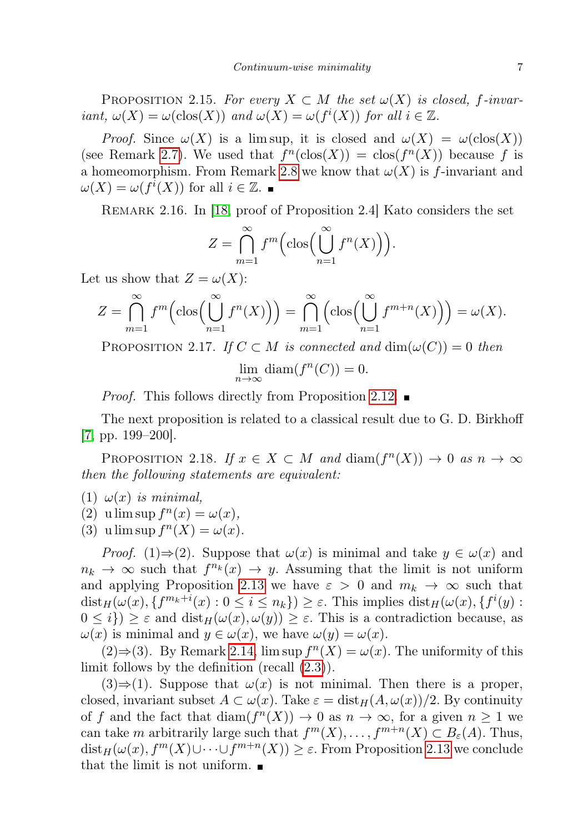PROPOSITION 2.15. For every  $X \subset M$  the set  $\omega(X)$  is closed, f-invariant,  $\omega(X) = \omega(\text{clos}(X))$  and  $\omega(X) = \omega(f^i(X))$  for all  $i \in \mathbb{Z}$ .

*Proof.* Since  $\omega(X)$  is a lim sup, it is closed and  $\omega(X) = \omega(\text{clos}(X))$ (see Remark [2.7\)](#page-4-2). We used that  $f^n(\text{clos}(X)) = \text{clos}(f^n(X))$  because f is a homeomorphism. From Remark [2.8](#page-4-3) we know that  $\omega(X)$  is f-invariant and  $\omega(X) = \omega(f^i(X))$  for all  $i \in \mathbb{Z}$ .

Remark 2.16. In [\[18,](#page-24-8) proof of Proposition 2.4] Kato considers the set

$$
Z = \bigcap_{m=1}^{\infty} f^m \Big( \text{clos} \Big( \bigcup_{n=1}^{\infty} f^n(X) \Big) \Big).
$$

Let us show that  $Z = \omega(X)$ :

$$
Z = \bigcap_{m=1}^{\infty} f^m \Big( \text{clos} \Big( \bigcup_{n=1}^{\infty} f^n(X) \Big) \Big) = \bigcap_{m=1}^{\infty} \Big( \text{clos} \Big( \bigcup_{n=1}^{\infty} f^{m+n}(X) \Big) \Big) = \omega(X).
$$

<span id="page-6-1"></span>PROPOSITION 2.17. If  $C \subset M$  is connected and  $\dim(\omega(C)) = 0$  then  $\lim_{n\to\infty}$  diam $(f^n(C))=0$ .

Proof. This follows directly from Proposition [2.12.](#page-4-4)

The next proposition is related to a classical result due to G. D. Birkhoff [\[7,](#page-23-4) pp. 199–200].

<span id="page-6-0"></span>PROPOSITION 2.18. If  $x \in X \subset M$  and  $\text{diam}(f^n(X)) \to 0$  as  $n \to \infty$ then the following statements are equivalent:

(1)  $\omega(x)$  is minimal,

(2) u lim sup  $f^{n}(x) = \omega(x)$ ,

(3) u lim sup  $f^{n}(X) = \omega(x)$ .

*Proof.* (1)⇒(2). Suppose that  $\omega(x)$  is minimal and take  $y \in \omega(x)$  and  $n_k \to \infty$  such that  $f^{n_k}(x) \to y$ . Assuming that the limit is not uniform and applying Proposition [2.13](#page-5-1) we have  $\varepsilon > 0$  and  $m_k \to \infty$  such that  $dist_H(\omega(x), \{f^{m_k+i}(x) : 0 \leq i \leq n_k\}) \geq \varepsilon$ . This implies  $dist_H(\omega(x), \{f^i(y) :$  $0 \leq i$ )  $\geq \varepsilon$  and  $dist_H(\omega(x), \omega(y)) \geq \varepsilon$ . This is a contradiction because, as  $\omega(x)$  is minimal and  $y \in \omega(x)$ , we have  $\omega(y) = \omega(x)$ .

(2)⇒(3). By Remark [2.14,](#page-5-2) lim sup  $f^{n}(X) = \omega(x)$ . The uniformity of this limit follows by the definition (recall [\(2.3\)](#page-5-3)).

 $(3) \Rightarrow (1)$ . Suppose that  $\omega(x)$  is not minimal. Then there is a proper, closed, invariant subset  $A \subset \omega(x)$ . Take  $\varepsilon = \text{dist}_{H}(A, \omega(x))/2$ . By continuity of f and the fact that  $\text{diam}(f^n(X)) \to 0$  as  $n \to \infty$ , for a given  $n \geq 1$  we can take m arbitrarily large such that  $f^m(X), \ldots, f^{m+n}(X) \subset B_{\varepsilon}(A)$ . Thus,  $dist_H(\omega(x), f^m(X) \cup \cdots \cup f^{m+n}(X)) \geq \varepsilon$ . From Proposition [2.13](#page-5-1) we conclude that the limit is not uniform.  $\blacksquare$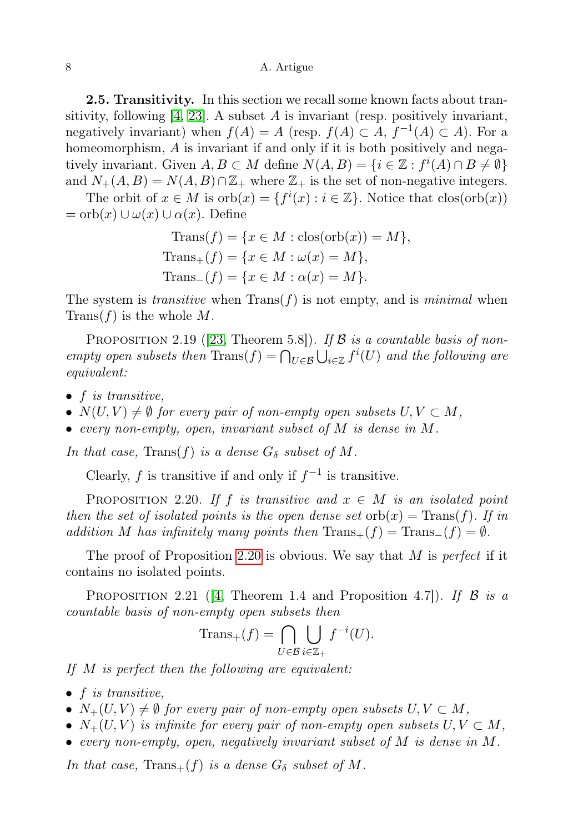#### 8 A. Artigue

<span id="page-7-0"></span>2.5. Transitivity. In this section we recall some known facts about transitivity, following  $[4, 23]$  $[4, 23]$ . A subset A is invariant (resp. positively invariant, negatively invariant) when  $f(A) = A$  (resp.  $f(A) \subset A$ ,  $f^{-1}(A) \subset A$ ). For a homeomorphism, A is invariant if and only if it is both positively and negatively invariant. Given  $A, B \subset M$  define  $N(A, B) = \{i \in \mathbb{Z} : f^i(A) \cap B \neq \emptyset\}$ and  $N_{+}(A, B) = N(A, B) \cap \mathbb{Z}_{+}$  where  $\mathbb{Z}_{+}$  is the set of non-negative integers.

The orbit of  $x \in M$  is  $orb(x) = \{f^{i}(x) : i \in \mathbb{Z}\}\.$  Notice that  $clos(orb(x))$  $=$  orb $(x) \cup \omega(x) \cup \alpha(x)$ . Define

$$
\begin{aligned} \text{Trans}(f) &= \{ x \in M : \text{clos}(\text{orb}(x)) = M \}, \\ \text{Trans}_+(f) &= \{ x \in M : \omega(x) = M \}, \\ \text{Trans}_-(f) &= \{ x \in M : \alpha(x) = M \}. \end{aligned}
$$

The system is *transitive* when  $Trans(f)$  is not empty, and is *minimal* when  $Trans(f)$  is the whole M.

<span id="page-7-2"></span>PROPOSITION 2.19 ([\[23,](#page-24-9) Theorem 5.8]). If  $\beta$  is a countable basis of nonempty open subsets then  $\text{Trans}(f) = \bigcap_{U \in \mathcal{B}} \bigcup_{i \in \mathbb{Z}} f^i(U)$  and the following are equivalent:

- $\bullet$  f is transitive,
- $N(U, V) \neq \emptyset$  for every pair of non-empty open subsets  $U, V \subset M$ ,
- every non-empty, open, invariant subset of M is dense in M.

In that case, Trans $(f)$  is a dense  $G_{\delta}$  subset of M.

Clearly, f is transitive if and only if  $f^{-1}$  is transitive.

<span id="page-7-1"></span>PROPOSITION 2.20. If f is transitive and  $x \in M$  is an isolated point then the set of isolated points is the open dense set  $\text{orb}(x) = \text{Trans}(f)$ . If in addition M has infinitely many points then  $Trans_{+}(f) = Trans_{-}(f) = \emptyset$ .

The proof of Proposition [2.20](#page-7-1) is obvious. We say that  $M$  is *perfect* if it contains no isolated points.

<span id="page-7-3"></span>PROPOSITION 2.21 ([\[4,](#page-23-5) Theorem 1.4 and Proposition 4.7]). If  $\mathcal B$  is a countable basis of non-empty open subsets then

$$
\text{Trans}_+(f) = \bigcap_{U \in \mathcal{B}} \bigcup_{i \in \mathbb{Z}_+} f^{-i}(U).
$$

If M is perfect then the following are equivalent:

- $\bullet$  f is transitive,
- $N_{+}(U, V) \neq \emptyset$  for every pair of non-empty open subsets  $U, V \subset M$ ,
- $N_{+}(U, V)$  is infinite for every pair of non-empty open subsets  $U, V \subset M$ ,
- every non-empty, open, negatively invariant subset of  $M$  is dense in  $M$ .

In that case, Trans $+(f)$  is a dense  $G_{\delta}$  subset of M.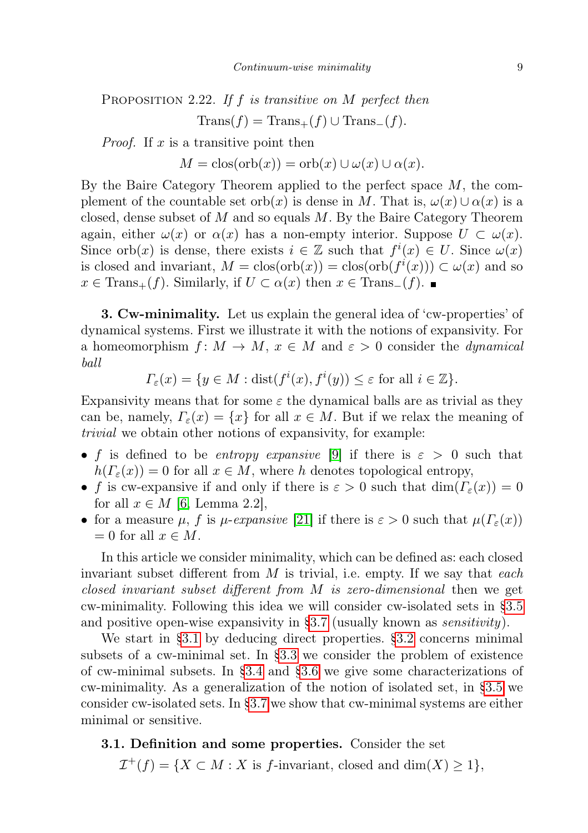<span id="page-8-2"></span>PROPOSITION 2.22. If f is transitive on  $M$  perfect then  $Trans(f) = Trans_{+}(f) \cup Trans_{-}(f).$ 

*Proof.* If x is a transitive point then

 $M = \text{clos}(\text{orb}(x)) = \text{orb}(x) \cup \omega(x) \cup \alpha(x).$ 

By the Baire Category Theorem applied to the perfect space  $M$ , the complement of the countable set orb(x) is dense in M. That is,  $\omega(x) \cup \alpha(x)$  is a closed, dense subset of  $M$  and so equals  $M$ . By the Baire Category Theorem again, either  $\omega(x)$  or  $\alpha(x)$  has a non-empty interior. Suppose  $U \subset \omega(x)$ . Since orb $(x)$  is dense, there exists  $i \in \mathbb{Z}$  such that  $f^i(x) \in U$ . Since  $\omega(x)$ is closed and invariant,  $M = \text{clos}(\text{orb}(x)) = \text{clos}(\text{orb}(f^{i}(x))) \subset \omega(x)$  and so  $x \in \text{Trans}_{+}(f)$ . Similarly, if  $U \subset \alpha(x)$  then  $x \in \text{Trans}_{-}(f)$ .

<span id="page-8-0"></span>**3. Cw-minimality.** Let us explain the general idea of 'cw-properties' of dynamical systems. First we illustrate it with the notions of expansivity. For a homeomorphism  $f: M \to M$ ,  $x \in M$  and  $\varepsilon > 0$  consider the *dynamical* ball

 $\Gamma_{\varepsilon}(x) = \{ y \in M : \text{dist}(f^i(x), f^i(y)) \leq \varepsilon \text{ for all } i \in \mathbb{Z} \}.$ 

Expansivity means that for some  $\varepsilon$  the dynamical balls are as trivial as they can be, namely,  $\Gamma_{\varepsilon}(x) = \{x\}$  for all  $x \in M$ . But if we relax the meaning of trivial we obtain other notions of expansivity, for example:

- f is defined to be entropy expansive [\[9\]](#page-23-6) if there is  $\varepsilon > 0$  such that  $h(\Gamma_{\varepsilon}(x)) = 0$  for all  $x \in M$ , where h denotes topological entropy,
- f is cw-expansive if and only if there is  $\varepsilon > 0$  such that  $\dim(F_{\varepsilon}(x)) = 0$ for all  $x \in M$  [\[6,](#page-23-7) Lemma 2.2],
- for a measure  $\mu$ , f is  $\mu$ -expansive [\[21\]](#page-24-10) if there is  $\varepsilon > 0$  such that  $\mu(\Gamma_{\varepsilon}(x))$  $= 0$  for all  $x \in M$ .

In this article we consider minimality, which can be defined as: each closed invariant subset different from  $M$  is trivial, i.e. empty. If we say that each closed invariant subset different from M is zero-dimensional then we get cw-minimality. Following this idea we will consider cw-isolated sets in [§3.5](#page-12-0) and positive open-wise expansivity in  $\S 3.7$  (usually known as *sensitivity*).

We start in [§3.1](#page-8-1) by deducing direct properties. [§3.2](#page-9-0) concerns minimal subsets of a cw-minimal set. In [§3.3](#page-10-0) we consider the problem of existence of cw-minimal subsets. In [§3.4](#page-11-1) and [§3.6](#page-14-0) we give some characterizations of cw-minimality. As a generalization of the notion of isolated set, in [§3.5](#page-12-0) we consider cw-isolated sets. In [§3.7](#page-17-1) we show that cw-minimal systems are either minimal or sensitive.

# <span id="page-8-1"></span>3.1. Definition and some properties. Consider the set

 $\mathcal{I}^+(f) = \{ X \subset M : X \text{ is } f\text{-invariant, closed and } \dim(X) \geq 1 \},$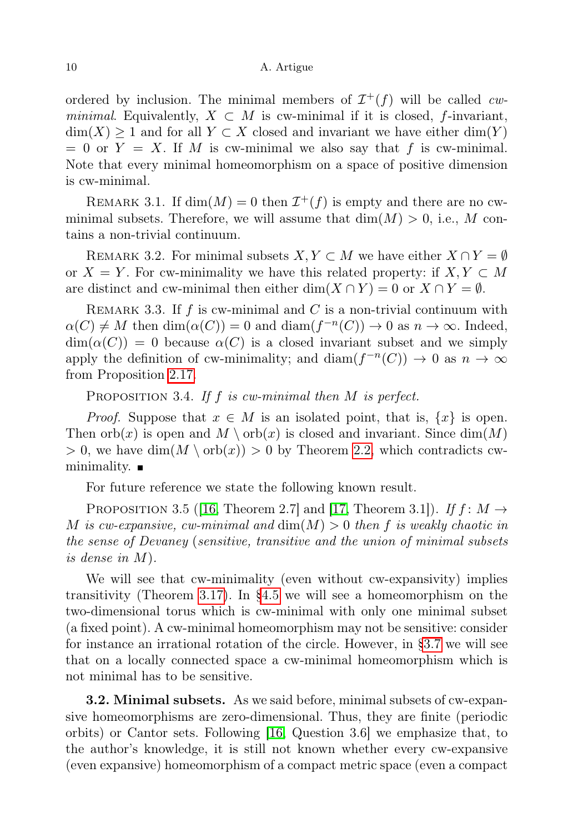### 10 A. Artigue

ordered by inclusion. The minimal members of  $\mathcal{I}^+(f)$  will be called cwminimal. Equivalently,  $X \subset M$  is cw-minimal if it is closed, f-invariant,  $\dim(X) \geq 1$  and for all  $Y \subset X$  closed and invariant we have either  $\dim(Y)$  $= 0$  or  $Y = X$ . If M is cw-minimal we also say that f is cw-minimal. Note that every minimal homeomorphism on a space of positive dimension is cw-minimal.

REMARK 3.1. If  $dim(M) = 0$  then  $\mathcal{I}^+(f)$  is empty and there are no cwminimal subsets. Therefore, we will assume that  $\dim(M) > 0$ , i.e., M contains a non-trivial continuum.

REMARK 3.2. For minimal subsets  $X, Y \subset M$  we have either  $X \cap Y = \emptyset$ or  $X = Y$ . For cw-minimality we have this related property: if  $X, Y \subset M$ are distinct and cw-minimal then either dim( $X \cap Y$ ) = 0 or  $X \cap Y = \emptyset$ .

REMARK 3.3. If  $f$  is cw-minimal and  $C$  is a non-trivial continuum with  $\alpha(C) \neq M$  then  $\dim(\alpha(C)) = 0$  and  $\dim(f^{-n}(C)) \to 0$  as  $n \to \infty$ . Indeed,  $\dim(\alpha(C)) = 0$  because  $\alpha(C)$  is a closed invariant subset and we simply apply the definition of cw-minimality; and  $\text{diam}(f^{-n}(C)) \to 0$  as  $n \to \infty$ from Proposition [2.17.](#page-6-1)

<span id="page-9-2"></span>PROPOSITION 3.4. If f is cw-minimal then  $M$  is perfect.

*Proof.* Suppose that  $x \in M$  is an isolated point, that is,  $\{x\}$  is open. Then  $\operatorname{orb}(x)$  is open and  $M \setminus \operatorname{orb}(x)$  is closed and invariant. Since  $\dim(M)$  $> 0$ , we have  $\dim(M \setminus \text{orb}(x)) > 0$  by Theorem [2.2,](#page-2-3) which contradicts cwminimality.  $\blacksquare$ 

For future reference we state the following known result.

<span id="page-9-1"></span>PROPOSITION 3.5 ([\[16,](#page-24-3) Theorem 2.7] and [\[17,](#page-24-4) Theorem 3.1]). If  $f: M \to$ M is cw-expansive, cw-minimal and  $dim(M) > 0$  then f is weakly chaotic in the sense of Devaney (sensitive, transitive and the union of minimal subsets is dense in M).

We will see that cw-minimality (even without cw-expansivity) implies transitivity (Theorem [3.17\)](#page-14-1). In [§4.5](#page-20-0) we will see a homeomorphism on the two-dimensional torus which is cw-minimal with only one minimal subset (a fixed point). A cw-minimal homeomorphism may not be sensitive: consider for instance an irrational rotation of the circle. However, in [§3.7](#page-17-1) we will see that on a locally connected space a cw-minimal homeomorphism which is not minimal has to be sensitive.

<span id="page-9-0"></span>3.2. Minimal subsets. As we said before, minimal subsets of cw-expansive homeomorphisms are zero-dimensional. Thus, they are finite (periodic orbits) or Cantor sets. Following [\[16,](#page-24-3) Question 3.6] we emphasize that, to the author's knowledge, it is still not known whether every cw-expansive (even expansive) homeomorphism of a compact metric space (even a compact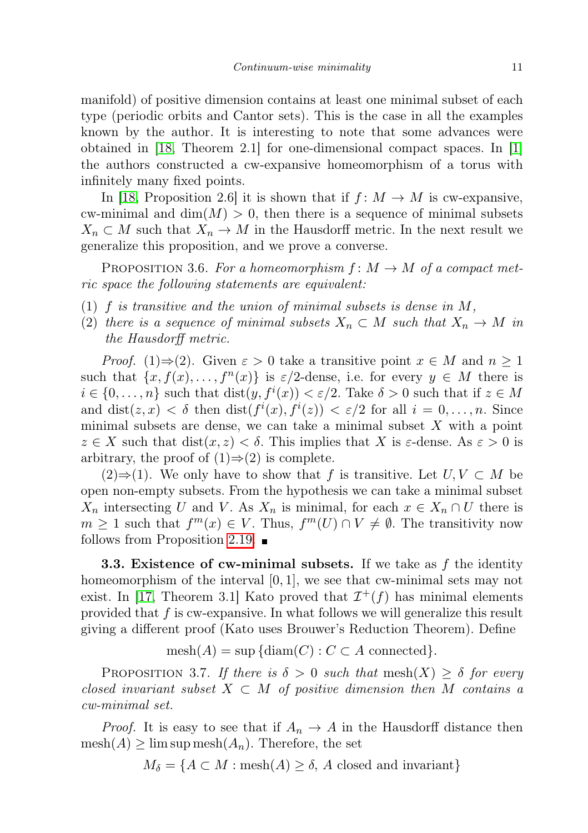manifold) of positive dimension contains at least one minimal subset of each type (periodic orbits and Cantor sets). This is the case in all the examples known by the author. It is interesting to note that some advances were obtained in [\[18,](#page-24-8) Theorem 2.1] for one-dimensional compact spaces. In [\[1\]](#page-23-8) the authors constructed a cw-expansive homeomorphism of a torus with infinitely many fixed points.

In [\[18,](#page-24-8) Proposition 2.6] it is shown that if  $f: M \to M$  is cw-expansive, cw-minimal and  $\dim(M) > 0$ , then there is a sequence of minimal subsets  $X_n \subset M$  such that  $X_n \to M$  in the Hausdorff metric. In the next result we generalize this proposition, and we prove a converse.

PROPOSITION 3.6. For a homeomorphism  $f: M \to M$  of a compact metric space the following statements are equivalent:

- (1)  $f$  is transitive and the union of minimal subsets is dense in  $M$ ,
- (2) there is a sequence of minimal subsets  $X_n \subset M$  such that  $X_n \to M$  in the Hausdorff metric.

*Proof.* (1)⇒(2). Given  $\varepsilon > 0$  take a transitive point  $x \in M$  and  $n \ge 1$ such that  $\{x, f(x), \ldots, f^{n}(x)\}\$ is  $\varepsilon/2$ -dense, i.e. for every  $y \in M$  there is  $i \in \{0, \ldots, n\}$  such that  $dist(y, f^i(x)) < \varepsilon/2$ . Take  $\delta > 0$  such that if  $z \in M$ and  $dist(z, x) < \delta$  then  $dist(f^i(x), f^i(z)) < \varepsilon/2$  for all  $i = 0, \ldots, n$ . Since minimal subsets are dense, we can take a minimal subset  $X$  with a point  $z \in X$  such that  $dist(x, z) < \delta$ . This implies that X is  $\varepsilon$ -dense. As  $\varepsilon > 0$  is arbitrary, the proof of  $(1) \Rightarrow (2)$  is complete.

 $(2) \Rightarrow (1)$ . We only have to show that f is transitive. Let  $U, V \subset M$  be open non-empty subsets. From the hypothesis we can take a minimal subset  $X_n$  intersecting U and V. As  $X_n$  is minimal, for each  $x \in X_n \cap U$  there is  $m \geq 1$  such that  $f^m(x) \in V$ . Thus,  $f^m(U) \cap V \neq \emptyset$ . The transitivity now follows from Proposition [2.19.](#page-7-2)  $\blacksquare$ 

<span id="page-10-0"></span>**3.3. Existence of cw-minimal subsets.** If we take as  $f$  the identity homeomorphism of the interval  $[0, 1]$ , we see that cw-minimal sets may not exist. In [\[17,](#page-24-4) Theorem 3.1] Kato proved that  $\mathcal{I}^+(f)$  has minimal elements provided that  $f$  is cw-expansive. In what follows we will generalize this result giving a different proof (Kato uses Brouwer's Reduction Theorem). Define

 $mesh(A) = \sup \{diam(C) : C \subset A \text{ connected}\}.$ 

<span id="page-10-1"></span>PROPOSITION 3.7. If there is  $\delta > 0$  such that mesh $(X) \geq \delta$  for every closed invariant subset  $X \subset M$  of positive dimension then M contains a cw-minimal set.

*Proof.* It is easy to see that if  $A_n \to A$  in the Hausdorff distance then  $mesh(A) \geq \limsup mesh(A_n)$ . Therefore, the set

$$
M_{\delta} = \{ A \subset M : \text{mesh}(A) \ge \delta, A \text{ closed and invariant} \}
$$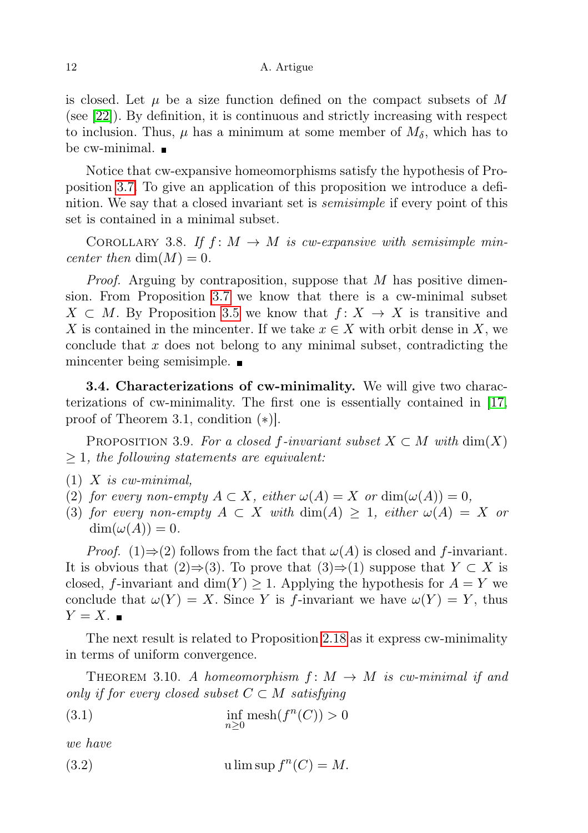is closed. Let  $\mu$  be a size function defined on the compact subsets of M (see [\[22\]](#page-24-7)). By definition, it is continuous and strictly increasing with respect to inclusion. Thus,  $\mu$  has a minimum at some member of  $M_{\delta}$ , which has to be cw-minimal.

Notice that cw-expansive homeomorphisms satisfy the hypothesis of Proposition [3.7.](#page-10-1) To give an application of this proposition we introduce a definition. We say that a closed invariant set is semisimple if every point of this set is contained in a minimal subset.

COROLLARY 3.8. If  $f: M \to M$  is cw-expansive with semisimple mincenter then  $\dim(M) = 0$ .

*Proof.* Arguing by contraposition, suppose that M has positive dimension. From Proposition [3.7](#page-10-1) we know that there is a cw-minimal subset  $X \subset M$ . By Proposition [3.5](#page-9-1) we know that  $f: X \to X$  is transitive and X is contained in the mincenter. If we take  $x \in X$  with orbit dense in X, we conclude that  $x$  does not belong to any minimal subset, contradicting the mincenter being semisimple.

<span id="page-11-1"></span>3.4. Characterizations of cw-minimality. We will give two characterizations of cw-minimality. The first one is essentially contained in [\[17,](#page-24-4) proof of Theorem 3.1, condition (∗)].

PROPOSITION 3.9. For a closed f-invariant subset  $X \subset M$  with  $\dim(X)$  $\geq 1$ , the following statements are equivalent:

- $(1)$  X is cw-minimal,
- (2) for every non-empty  $A \subset X$ , either  $\omega(A) = X$  or  $\dim(\omega(A)) = 0$ ,
- (3) for every non-empty  $A \subset X$  with  $\dim(A) \geq 1$ , either  $\omega(A) = X$  or  $\dim(\omega(A)) = 0.$

*Proof.* (1)⇒(2) follows from the fact that  $\omega(A)$  is closed and f-invariant. It is obvious that  $(2) \Rightarrow (3)$ . To prove that  $(3) \Rightarrow (1)$  suppose that  $Y \subset X$  is closed, f-invariant and dim(Y)  $\geq$  1. Applying the hypothesis for  $A = Y$  we conclude that  $\omega(Y) = X$ . Since Y is f-invariant we have  $\omega(Y) = Y$ , thus  $Y = X$ .

The next result is related to Proposition [2.18](#page-6-0) as it express cw-minimality in terms of uniform convergence.

<span id="page-11-2"></span><span id="page-11-0"></span>THEOREM 3.10. A homeomorphism  $f: M \to M$  is cw-minimal if and only if for every closed subset  $C \subset M$  satisfying

(3.1) 
$$
\inf_{n\geq 0} \operatorname{mesh}(f^n(C)) > 0
$$

<span id="page-11-3"></span>we have

(3.2) 
$$
\text{u lim sup } f^{n}(C) = M.
$$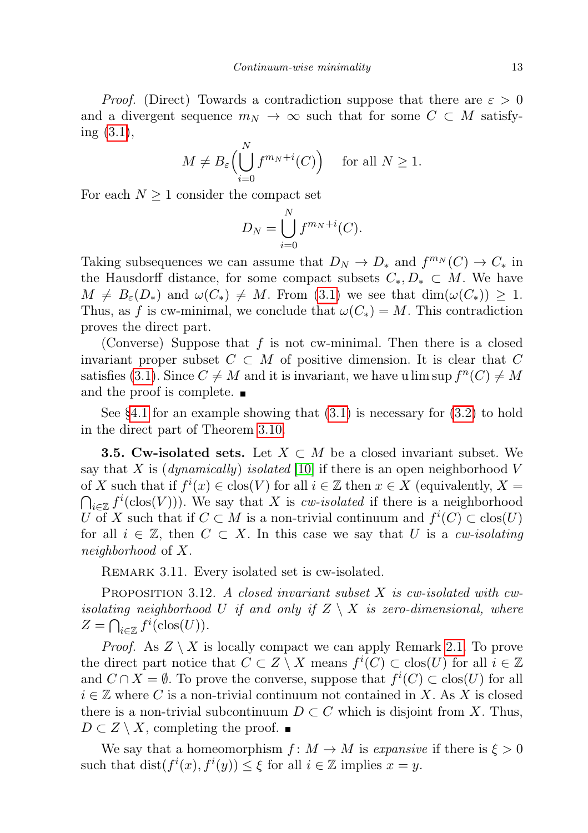*Proof.* (Direct) Towards a contradiction suppose that there are  $\varepsilon > 0$ and a divergent sequence  $m_N \to \infty$  such that for some  $C \subset M$  satisfying [\(3.1\)](#page-11-2),

$$
M \neq B_{\varepsilon} \Big( \bigcup_{i=0}^{N} f^{m_N + i}(C) \Big) \quad \text{ for all } N \ge 1.
$$

For each  $N \geq 1$  consider the compact set

$$
D_N = \bigcup_{i=0}^N f^{m_N + i}(C).
$$

Taking subsequences we can assume that  $D_N \to D_*$  and  $f^{m_N}(C) \to C_*$  in the Hausdorff distance, for some compact subsets  $C_*, D_* \subset M$ . We have  $M \neq B_{\varepsilon}(D_*)$  and  $\omega(C_*) \neq M$ . From [\(3.1\)](#page-11-2) we see that  $\dim(\omega(C_*)) \geq 1$ . Thus, as f is cw-minimal, we conclude that  $\omega(C_*) = M$ . This contradiction proves the direct part.

(Converse) Suppose that  $f$  is not cw-minimal. Then there is a closed invariant proper subset  $C \subset M$  of positive dimension. It is clear that C satisfies [\(3.1\)](#page-11-2). Since  $C \neq M$  and it is invariant, we have u lim sup  $f^{n}(C) \neq M$ and the proof is complete.

See [§4.1](#page-18-1) for an example showing that [\(3.1\)](#page-11-2) is necessary for [\(3.2\)](#page-11-3) to hold in the direct part of Theorem [3.10.](#page-11-0)

<span id="page-12-0"></span>**3.5. Cw-isolated sets.** Let  $X \subset M$  be a closed invariant subset. We say that X is (*dynamically*) isolated [\[10\]](#page-23-9) if there is an open neighborhood V of X such that if  $f^i(x) \in \text{clos}(V)$  for all  $i \in \mathbb{Z}$  then  $x \in X$  (equivalently,  $X =$  $\bigcap_{i\in\mathbb{Z}}f^{i}(\text{clos}(V))$ . We say that X is *cw-isolated* if there is a neighborhood U of X such that if  $C \subset M$  is a non-trivial continuum and  $f^{i}(C) \subset \text{clos}(U)$ for all  $i \in \mathbb{Z}$ , then  $C \subset X$ . In this case we say that U is a cw-isolating neighborhood of X.

REMARK 3.11. Every isolated set is cw-isolated.

<span id="page-12-1"></span>PROPOSITION 3.12. A closed invariant subset X is cw-isolated with cwisolating neighborhood U if and only if  $Z \setminus X$  is zero-dimensional, where  $Z = \bigcap_{i \in \mathbb{Z}} f^i(\text{clos}(U)).$ 

*Proof.* As  $Z \setminus X$  is locally compact we can apply Remark [2.1.](#page-2-4) To prove the direct part notice that  $C \subset Z \setminus X$  means  $f^i(C) \subset \text{clos}(U)$  for all  $i \in \mathbb{Z}$ and  $C \cap X = \emptyset$ . To prove the converse, suppose that  $f^i(C) \subset \text{clos}(U)$  for all  $i \in \mathbb{Z}$  where C is a non-trivial continuum not contained in X. As X is closed there is a non-trivial subcontinuum  $D \subset C$  which is disjoint from X. Thus,  $D \subset Z \setminus X$ , completing the proof.  $\blacksquare$ 

We say that a homeomorphism  $f: M \to M$  is expansive if there is  $\xi > 0$ such that  $dist(f^i(x), f^i(y)) \leq \xi$  for all  $i \in \mathbb{Z}$  implies  $x = y$ .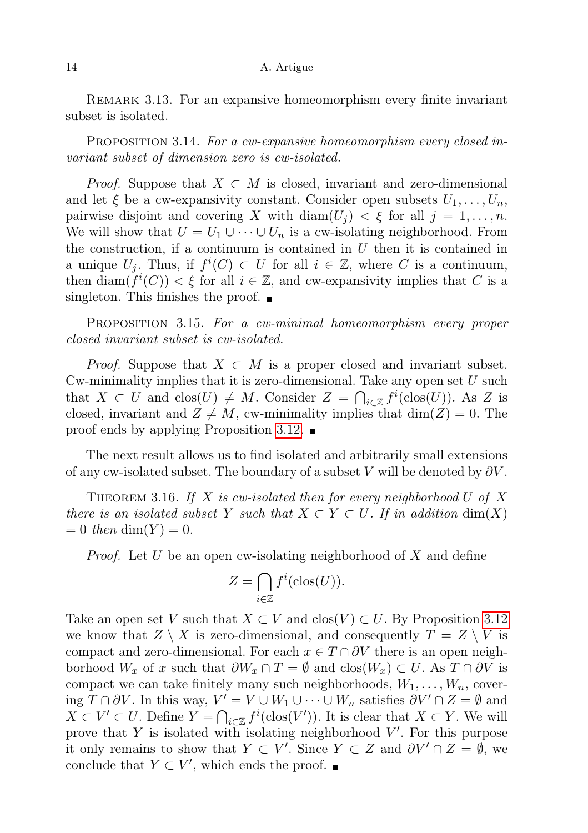REMARK 3.13. For an expansive homeomorphism every finite invariant subset is isolated.

PROPOSITION 3.14. For a cw-expansive homeomorphism every closed invariant subset of dimension zero is cw-isolated.

*Proof.* Suppose that  $X \subset M$  is closed, invariant and zero-dimensional and let  $\xi$  be a cw-expansivity constant. Consider open subsets  $U_1, \ldots, U_n$ , pairwise disjoint and covering X with  $\text{diam}(U_i) < \xi$  for all  $j = 1, \ldots, n$ . We will show that  $U = U_1 \cup \cdots \cup U_n$  is a cw-isolating neighborhood. From the construction, if a continuum is contained in  $U$  then it is contained in a unique  $U_j$ . Thus, if  $f^i(C) \subset U$  for all  $i \in \mathbb{Z}$ , where C is a continuum, then  $\dim(f^i(C)) < \xi$  for all  $i \in \mathbb{Z}$ , and cw-expansivity implies that C is a singleton. This finishes the proof.  $\blacksquare$ 

<span id="page-13-1"></span>PROPOSITION 3.15. For a cw-minimal homeomorphism every proper closed invariant subset is cw-isolated.

*Proof.* Suppose that  $X \subset M$  is a proper closed and invariant subset. Cw-minimality implies that it is zero-dimensional. Take any open set  $U$  such that  $X \subset U$  and  $\text{clos}(U) \neq M$ . Consider  $Z = \bigcap_{i \in \mathbb{Z}} f^i(\text{clos}(U))$ . As Z is closed, invariant and  $Z \neq M$ , cw-minimality implies that  $\dim(Z) = 0$ . The proof ends by applying Proposition [3.12.](#page-12-1)  $\blacksquare$ 

The next result allows us to find isolated and arbitrarily small extensions of any cw-isolated subset. The boundary of a subset V will be denoted by  $\partial V$ .

<span id="page-13-0"></span>THEOREM 3.16. If X is cw-isolated then for every neighborhood U of X there is an isolated subset Y such that  $X \subset Y \subset U$ . If in addition  $\dim(X)$  $= 0$  then dim(Y)  $= 0$ .

*Proof.* Let U be an open cw-isolating neighborhood of X and define

$$
Z = \bigcap_{i \in \mathbb{Z}} f^i(\text{clos}(U)).
$$

Take an open set V such that  $X \subset V$  and  $\text{clos}(V) \subset U$ . By Proposition [3.12](#page-12-1) we know that  $Z \setminus X$  is zero-dimensional, and consequently  $T = Z \setminus V$  is compact and zero-dimensional. For each  $x \in T \cap \partial V$  there is an open neighborhood  $W_x$  of x such that  $\partial W_x \cap T = \emptyset$  and  $\text{clos}(W_x) \subset U$ . As  $T \cap \partial V$  is compact we can take finitely many such neighborhoods,  $W_1, \ldots, W_n$ , covering  $T \cap \partial V$ . In this way,  $V' = V \cup W_1 \cup \cdots \cup W_n$  satisfies  $\partial V' \cap Z = \emptyset$  and  $X \subset V' \subset U$ . Define  $Y = \bigcap_{i \in \mathbb{Z}} f^i(\text{clos}(V'))$ . It is clear that  $X \subset Y$ . We will prove that Y is isolated with isolating neighborhood  $V'$ . For this purpose it only remains to show that  $Y \subset V'$ . Since  $Y \subset Z$  and  $\partial V' \cap Z = \emptyset$ , we conclude that  $Y \subset V'$ , which ends the proof.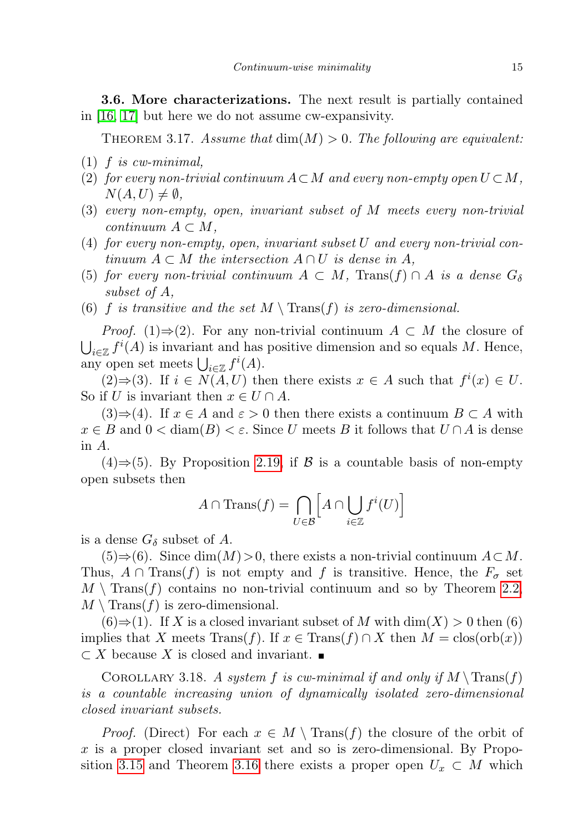<span id="page-14-0"></span>3.6. More characterizations. The next result is partially contained in [\[16,](#page-24-3) [17\]](#page-24-4) but here we do not assume cw-expansivity.

<span id="page-14-1"></span>THEOREM 3.17. Assume that  $\dim(M) > 0$ . The following are equivalent:

- $(1)$  f is cw-minimal,
- (2) for every non-trivial continuum  $A\subset M$  and every non-empty open  $U\subset M$ ,  $N(A, U) \neq \emptyset$ ,
- (3) every non-empty, open, invariant subset of M meets every non-trivial continuum  $A \subset M$ ,
- (4) for every non-empty, open, invariant subset U and every non-trivial continuum  $A \subset M$  the intersection  $A \cap U$  is dense in A,
- (5) for every non-trivial continuum  $A \subset M$ , Trans $(f) \cap A$  is a dense  $G_{\delta}$ subset of A,
- (6) f is transitive and the set  $M \setminus \text{Trans}(f)$  is zero-dimensional.

*Proof.* (1)⇒(2). For any non-trivial continuum  $A \subset M$  the closure of  $\bigcup_{i\in\mathbb{Z}}f^{i}(A)$  is invariant and has positive dimension and so equals M. Hence, any open set meets  $\bigcup_{i\in\mathbb{Z}}f^i(A)$ .

 $(2) \Rightarrow (3)$ . If  $i \in N(A, U)$  then there exists  $x \in A$  such that  $f^i(x) \in U$ . So if U is invariant then  $x \in U \cap A$ .

 $(3) \Rightarrow (4)$ . If  $x \in A$  and  $\varepsilon > 0$  then there exists a continuum  $B \subset A$  with  $x \in B$  and  $0 < \text{diam}(B) < \varepsilon$ . Since U meets B it follows that  $U \cap A$  is dense in A.

(4)⇒(5). By Proposition [2.19,](#page-7-2) if  $\beta$  is a countable basis of non-empty open subsets then

$$
A \cap \text{Trans}(f) = \bigcap_{U \in \mathcal{B}} \left[ A \cap \bigcup_{i \in \mathbb{Z}} f^i(U) \right]
$$

is a dense  $G_{\delta}$  subset of A.

 $(5) \Rightarrow (6)$ . Since dim $(M) > 0$ , there exists a non-trivial continuum  $A \subset M$ . Thus,  $A \cap \text{Trans}(f)$  is not empty and f is transitive. Hence, the  $F_{\sigma}$  set  $M \setminus \text{Trans}(f)$  contains no non-trivial continuum and so by Theorem [2.2,](#page-2-3)  $M \setminus \text{Trans}(f)$  is zero-dimensional.

 $(6) \Rightarrow (1)$ . If X is a closed invariant subset of M with  $\dim(X) > 0$  then  $(6)$ implies that X meets Trans(f). If  $x \in$  Trans(f) ∩ X then  $M = \text{clos}(\text{orb}(x))$  $\subset X$  because X is closed and invariant.  $\blacksquare$ 

<span id="page-14-2"></span>COROLLARY 3.18. A system f is cw-minimal if and only if  $M \setminus \text{Trans}(f)$ is a countable increasing union of dynamically isolated zero-dimensional closed invariant subsets.

*Proof.* (Direct) For each  $x \in M \setminus \text{Trans}(f)$  the closure of the orbit of  $x$  is a proper closed invariant set and so is zero-dimensional. By Propo-sition [3.15](#page-13-1) and Theorem [3.16](#page-13-0) there exists a proper open  $U_x \subset M$  which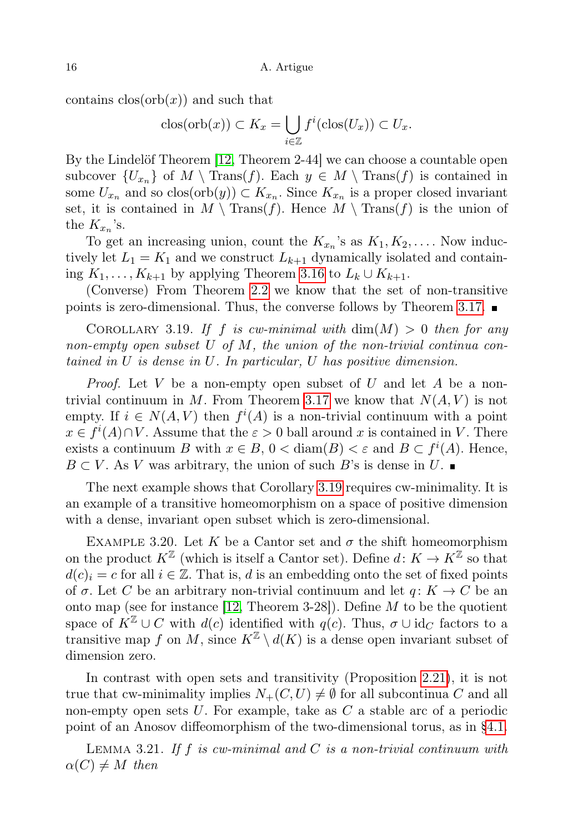contains  $\text{clos}(\text{orb}(x))$  and such that

$$
\operatorname{clos}(\operatorname{orb}(x)) \subset K_x = \bigcup_{i \in \mathbb{Z}} f^i(\operatorname{clos}(U_x)) \subset U_x.
$$

By the Lindelöf Theorem [\[12,](#page-23-3) Theorem 2-44] we can choose a countable open subcover  $\{U_{x_n}\}\$  of  $M \setminus \text{Trans}(f)$ . Each  $y \in M \setminus \text{Trans}(f)$  is contained in some  $U_{x_n}$  and so  $\text{clos}(\text{orb}(y)) \subset K_{x_n}$ . Since  $K_{x_n}$  is a proper closed invariant set, it is contained in  $M \setminus \text{Trans}(f)$ . Hence  $M \setminus \text{Trans}(f)$  is the union of the  $K_{x_n}$ 's.

To get an increasing union, count the  $K_{x_n}$ 's as  $K_1, K_2, \ldots$ . Now inductively let  $L_1 = K_1$  and we construct  $L_{k+1}$  dynamically isolated and containing  $K_1, \ldots, K_{k+1}$  by applying Theorem [3.16](#page-13-0) to  $L_k \cup K_{k+1}$ .

(Converse) From Theorem [2.2](#page-2-3) we know that the set of non-transitive points is zero-dimensional. Thus, the converse follows by Theorem [3.17.](#page-14-1)  $\blacksquare$ 

<span id="page-15-0"></span>COROLLARY 3.19. If f is cw-minimal with  $\dim(M) > 0$  then for any non-empty open subset U of M, the union of the non-trivial continua contained in U is dense in U. In particular, U has positive dimension.

*Proof.* Let V be a non-empty open subset of U and let A be a non-trivial continuum in M. From Theorem [3.17](#page-14-1) we know that  $N(A, V)$  is not empty. If  $i \in N(A, V)$  then  $f^{i}(A)$  is a non-trivial continuum with a point  $x \in f^{i}(A) \cap V$ . Assume that the  $\varepsilon > 0$  ball around x is contained in V. There exists a continuum B with  $x \in B$ ,  $0 < \text{diam}(B) < \varepsilon$  and  $B \subset f^{i}(A)$ . Hence,  $B \subset V$ . As V was arbitrary, the union of such B's is dense in U.

The next example shows that Corollary [3.19](#page-15-0) requires cw-minimality. It is an example of a transitive homeomorphism on a space of positive dimension with a dense, invariant open subset which is zero-dimensional.

EXAMPLE 3.20. Let K be a Cantor set and  $\sigma$  the shift homeomorphism on the product  $K^{\mathbb{Z}}$  (which is itself a Cantor set). Define  $d: K \to K^{\mathbb{Z}}$  so that  $d(c)_i = c$  for all  $i \in \mathbb{Z}$ . That is, d is an embedding onto the set of fixed points of  $\sigma$ . Let C be an arbitrary non-trivial continuum and let  $q: K \to C$  be an onto map (see for instance [\[12,](#page-23-3) Theorem 3-28]). Define  $M$  to be the quotient space of  $K^{\mathbb{Z}} \cup C$  with  $d(c)$  identified with  $q(c)$ . Thus,  $\sigma \cup id_{C}$  factors to a transitive map f on M, since  $K^{\mathbb{Z}} \setminus d(K)$  is a dense open invariant subset of dimension zero.

In contrast with open sets and transitivity (Proposition [2.21\)](#page-7-3), it is not true that cw-minimality implies  $N_{+}(C, U) \neq \emptyset$  for all subcontinua C and all non-empty open sets  $U$ . For example, take as  $C$  a stable arc of a periodic point of an Anosov diffeomorphism of the two-dimensional torus, as in [§4.1.](#page-18-1)

<span id="page-15-1"></span>LEMMA 3.21. If f is cw-minimal and  $C$  is a non-trivial continuum with  $\alpha(C) \neq M$  then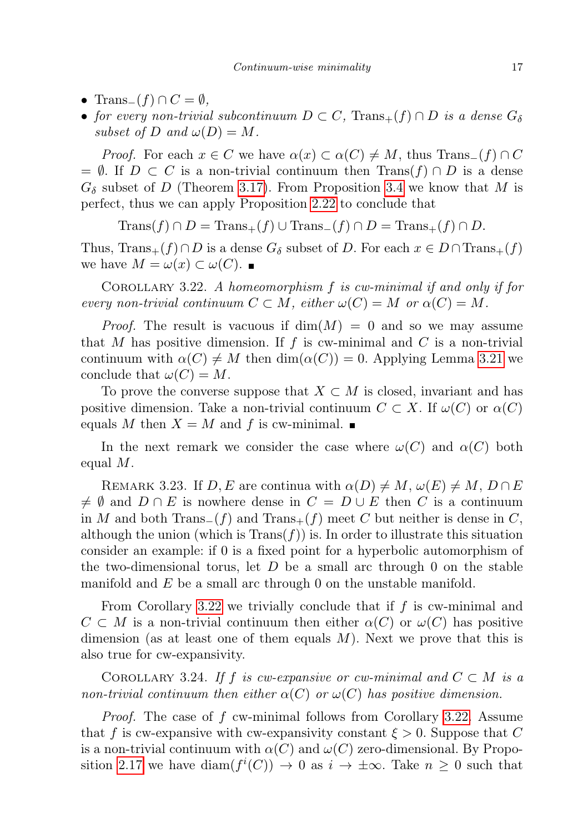- Trans<sub>−</sub> $(f) \cap C = \emptyset$ ,
- for every non-trivial subcontinuum  $D \subset C$ ,  $Trans_{+}(f) \cap D$  is a dense  $G_{\delta}$ subset of D and  $\omega(D) = M$ .

*Proof.* For each  $x \in C$  we have  $\alpha(x) \subset \alpha(C) \neq M$ , thus Trans<sub>−</sub>(f) ∩ C  $= \emptyset$ . If  $D \subset C$  is a non-trivial continuum then Trans $(f) \cap D$  is a dense  $G_{\delta}$  subset of D (Theorem [3.17\)](#page-14-1). From Proposition [3.4](#page-9-2) we know that M is perfect, thus we can apply Proposition [2.22](#page-8-2) to conclude that

 $\text{Trans}(f) \cap D = \text{Trans}_+(f) \cup \text{Trans}_-(f) \cap D = \text{Trans}_+(f) \cap D.$ 

Thus,  $\text{Trans}_+(f) \cap D$  is a dense  $G_\delta$  subset of D. For each  $x \in D \cap \text{Trans}_+(f)$ we have  $M = \omega(x) \subset \omega(C)$ .

<span id="page-16-0"></span>COROLLARY 3.22. A homeomorphism  $f$  is cw-minimal if and only if for every non-trivial continuum  $C \subset M$ , either  $\omega(C) = M$  or  $\alpha(C) = M$ .

*Proof.* The result is vacuous if  $dim(M) = 0$  and so we may assume that M has positive dimension. If  $f$  is cw-minimal and  $C$  is a non-trivial continuum with  $\alpha(C) \neq M$  then  $\dim(\alpha(C)) = 0$ . Applying Lemma [3.21](#page-15-1) we conclude that  $\omega(C) = M$ .

To prove the converse suppose that  $X \subset M$  is closed, invariant and has positive dimension. Take a non-trivial continuum  $C \subset X$ . If  $\omega(C)$  or  $\alpha(C)$ equals M then  $X = M$  and f is cw-minimal.

In the next remark we consider the case where  $\omega(C)$  and  $\alpha(C)$  both equal M.

REMARK 3.23. If  $D, E$  are continua with  $\alpha(D) \neq M, \omega(E) \neq M, D \cap E$  $\neq \emptyset$  and  $D \cap E$  is nowhere dense in  $C = D \cup E$  then C is a continuum in M and both Trans<sub>−</sub> $(f)$  and Trans<sub>+</sub> $(f)$  meet C but neither is dense in C, although the union (which is  $\text{Trans}(f)$ ) is. In order to illustrate this situation consider an example: if 0 is a fixed point for a hyperbolic automorphism of the two-dimensional torus, let  $D$  be a small arc through 0 on the stable manifold and  $E$  be a small arc through 0 on the unstable manifold.

From Corollary [3.22](#page-16-0) we trivially conclude that if  $f$  is cw-minimal and  $C \subset M$  is a non-trivial continuum then either  $\alpha(C)$  or  $\omega(C)$  has positive dimension (as at least one of them equals  $M$ ). Next we prove that this is also true for cw-expansivity.

COROLLARY 3.24. If f is cw-expansive or cw-minimal and  $C \subset M$  is a non-trivial continuum then either  $\alpha(C)$  or  $\omega(C)$  has positive dimension.

Proof. The case of f cw-minimal follows from Corollary [3.22.](#page-16-0) Assume that f is cw-expansive with cw-expansivity constant  $\xi > 0$ . Suppose that C is a non-trivial continuum with  $\alpha(C)$  and  $\omega(C)$  zero-dimensional. By Propo-sition [2.17](#page-6-1) we have  $\text{diam}(f^i(C)) \to 0$  as  $i \to \pm \infty$ . Take  $n \geq 0$  such that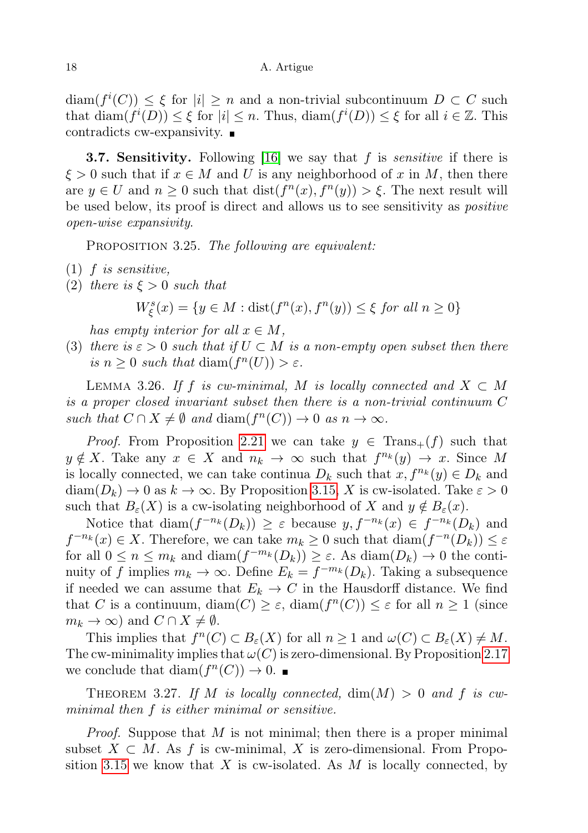$\text{diam}(f^{i}(C)) \leq \xi$  for  $|i| \geq n$  and a non-trivial subcontinuum  $D \subset C$  such that  $\text{diam}(f^i(D)) \leq \xi$  for  $|i| \leq n$ . Thus,  $\text{diam}(f^i(D)) \leq \xi$  for all  $i \in \mathbb{Z}$ . This contradicts cw-expansivity.

<span id="page-17-1"></span>**3.7. Sensitivity.** Following [\[16\]](#page-24-3) we say that f is *sensitive* if there is  $\xi > 0$  such that if  $x \in M$  and U is any neighborhood of x in M, then there are  $y \in U$  and  $n \geq 0$  such that  $dist(f^{n}(x), f^{n}(y)) > \xi$ . The next result will be used below, its proof is direct and allows us to see sensitivity as positive open-wise expansivity.

PROPOSITION 3.25. The following are equivalent:

- $(1)$  f is sensitive,
- (2) there is  $\xi > 0$  such that

$$
W_{\xi}^{s}(x) = \{ y \in M : \operatorname{dist}(f^{n}(x), f^{n}(y)) \le \xi \text{ for all } n \ge 0 \}
$$

has empty interior for all  $x \in M$ ,

(3) there is  $\varepsilon > 0$  such that if  $U \subset M$  is a non-empty open subset then there is  $n \geq 0$  such that  $\text{diam}(f^n(U)) > \varepsilon$ .

<span id="page-17-2"></span>LEMMA 3.26. If f is cw-minimal, M is locally connected and  $X \subset M$ is a proper closed invariant subset then there is a non-trivial continuum C such that  $C \cap X \neq \emptyset$  and  $\text{diam}(f^n(C)) \to 0$  as  $n \to \infty$ .

*Proof.* From Proposition [2.21](#page-7-3) we can take  $y \in \text{Trans}_{+}(f)$  such that  $y \notin X$ . Take any  $x \in X$  and  $n_k \to \infty$  such that  $f^{n_k}(y) \to x$ . Since M is locally connected, we can take continua  $D_k$  such that  $x, f^{n_k}(y) \in D_k$  and  $diam(D_k) \to 0$  as  $k \to \infty$ . By Proposition [3.15,](#page-13-1) X is cw-isolated. Take  $\varepsilon > 0$ such that  $B_{\varepsilon}(X)$  is a cw-isolating neighborhood of X and  $y \notin B_{\varepsilon}(x)$ .

Notice that  $\text{diam}(f^{-n_k}(D_k)) \geq \varepsilon$  because  $y, f^{-n_k}(x) \in f^{-n_k}(D_k)$  and  $f^{-n_k}(x) \in X$ . Therefore, we can take  $m_k \geq 0$  such that  $\text{diam}(f^{-n}(D_k)) \leq \varepsilon$ for all  $0 \leq n \leq m_k$  and  $\text{diam}(f^{-m_k}(D_k)) \geq \varepsilon$ . As  $\text{diam}(D_k) \to 0$  the continuity of f implies  $m_k \to \infty$ . Define  $E_k = f^{-m_k}(D_k)$ . Taking a subsequence if needed we can assume that  $E_k \to C$  in the Hausdorff distance. We find that C is a continuum,  $\text{diam}(C) \geq \varepsilon$ ,  $\text{diam}(f^n(C)) \leq \varepsilon$  for all  $n \geq 1$  (since  $m_k \to \infty$ ) and  $C \cap X \neq \emptyset$ .

This implies that  $f^n(C) \subset B_{\varepsilon}(X)$  for all  $n \geq 1$  and  $\omega(C) \subset B_{\varepsilon}(X) \neq M$ . The cw-minimality implies that  $\omega(C)$  is zero-dimensional. By Proposition [2.17](#page-6-1) we conclude that  $\text{diam}(f^n(C)) \to 0$ .

<span id="page-17-0"></span>THEOREM 3.27. If M is locally connected,  $\dim(M) > 0$  and f is cwminimal then f is either minimal or sensitive.

*Proof.* Suppose that  $M$  is not minimal; then there is a proper minimal subset  $X \subset M$ . As f is cw-minimal, X is zero-dimensional. From Propo-sition [3.15](#page-13-1) we know that X is cw-isolated. As M is locally connected, by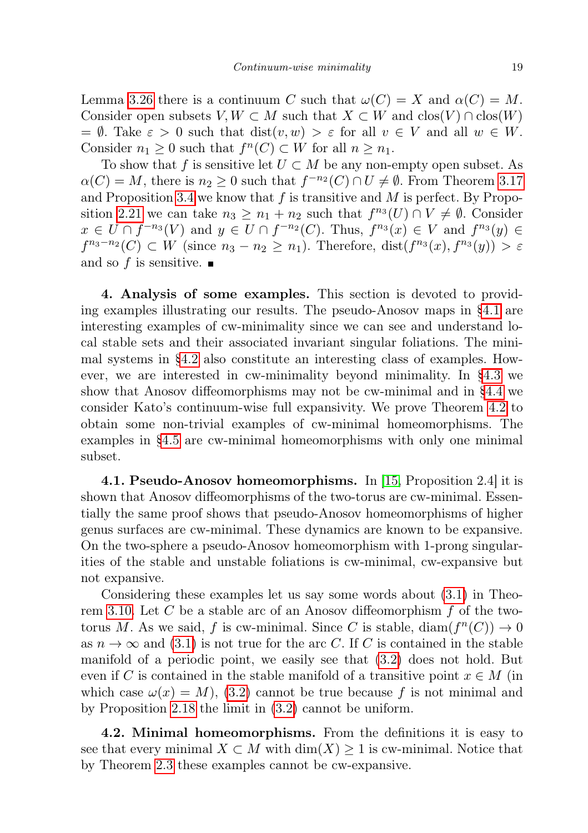Lemma [3.26](#page-17-2) there is a continuum C such that  $\omega(C) = X$  and  $\alpha(C) = M$ . Consider open subsets  $V, W \subset M$  such that  $X \subset W$  and  $\text{clos}(V) \cap \text{clos}(W)$ =  $\emptyset$ . Take  $\varepsilon > 0$  such that  $dist(v, w) > \varepsilon$  for all  $v \in V$  and all  $w \in W$ . Consider  $n_1 \geq 0$  such that  $f^n(C) \subset W$  for all  $n \geq n_1$ .

To show that f is sensitive let  $U \subset M$  be any non-empty open subset. As  $\alpha(C) = M$ , there is  $n_2 \geq 0$  such that  $f^{-n_2}(C) \cap U \neq \emptyset$ . From Theorem [3.17](#page-14-1) and Proposition [3.4](#page-9-2) we know that  $f$  is transitive and  $M$  is perfect. By Propo-sition [2.21](#page-7-3) we can take  $n_3 \geq n_1 + n_2$  such that  $f^{n_3}(U) \cap V \neq \emptyset$ . Consider  $x \in U \cap f^{-n_3}(V)$  and  $y \in U \cap f^{-n_2}(C)$ . Thus,  $f^{n_3}(x) \in V$  and  $f^{n_3}(y) \in V$  $f^{n_3-n_2}(C) \subset W$  (since  $n_3 - n_2 \geq n_1$ ). Therefore,  $dist(f^{n_3}(x), f^{n_3}(y)) > \varepsilon$ and so f is sensitive.  $\blacksquare$ 

<span id="page-18-0"></span>4. Analysis of some examples. This section is devoted to providing examples illustrating our results. The pseudo-Anosov maps in [§4.1](#page-18-1) are interesting examples of cw-minimality since we can see and understand local stable sets and their associated invariant singular foliations. The minimal systems in [§4.2](#page-18-2) also constitute an interesting class of examples. However, we are interested in cw-minimality beyond minimality. In [§4.3](#page-19-1) we show that Anosov diffeomorphisms may not be cw-minimal and in [§4.4](#page-19-2) we consider Kato's continuum-wise full expansivity. We prove Theorem [4.2](#page-19-0) to obtain some non-trivial examples of cw-minimal homeomorphisms. The examples in [§4.5](#page-20-0) are cw-minimal homeomorphisms with only one minimal subset.

<span id="page-18-1"></span>4.1. Pseudo-Anosov homeomorphisms. In [\[15,](#page-24-5) Proposition 2.4] it is shown that Anosov diffeomorphisms of the two-torus are cw-minimal. Essentially the same proof shows that pseudo-Anosov homeomorphisms of higher genus surfaces are cw-minimal. These dynamics are known to be expansive. On the two-sphere a pseudo-Anosov homeomorphism with 1-prong singularities of the stable and unstable foliations is cw-minimal, cw-expansive but not expansive.

Considering these examples let us say some words about [\(3.1\)](#page-11-2) in Theo-rem [3.10.](#page-11-0) Let C be a stable arc of an Anosov diffeomorphism  $f$  of the twotorus M. As we said, f is cw-minimal. Since C is stable,  $\text{diam}(f^n(C)) \to 0$ as  $n \to \infty$  and [\(3.1\)](#page-11-2) is not true for the arc C. If C is contained in the stable manifold of a periodic point, we easily see that [\(3.2\)](#page-11-3) does not hold. But even if C is contained in the stable manifold of a transitive point  $x \in M$  (in which case  $\omega(x) = M$ , [\(3.2\)](#page-11-3) cannot be true because f is not minimal and by Proposition [2.18](#page-6-0) the limit in [\(3.2\)](#page-11-3) cannot be uniform.

<span id="page-18-2"></span>4.2. Minimal homeomorphisms. From the definitions it is easy to see that every minimal  $X \subset M$  with  $\dim(X) \geq 1$  is cw-minimal. Notice that by Theorem [2.3](#page-2-2) these examples cannot be cw-expansive.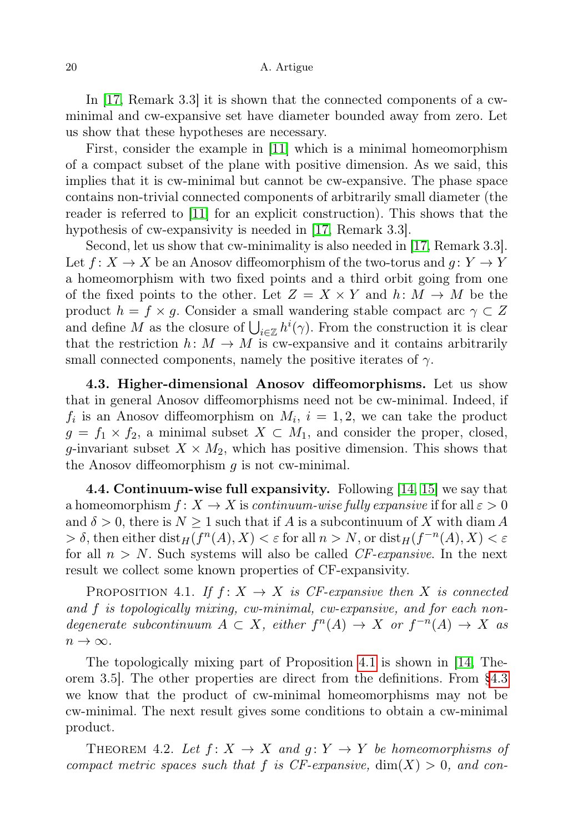In [\[17,](#page-24-4) Remark 3.3] it is shown that the connected components of a cwminimal and cw-expansive set have diameter bounded away from zero. Let us show that these hypotheses are necessary.

First, consider the example in [\[11\]](#page-23-10) which is a minimal homeomorphism of a compact subset of the plane with positive dimension. As we said, this implies that it is cw-minimal but cannot be cw-expansive. The phase space contains non-trivial connected components of arbitrarily small diameter (the reader is referred to [\[11\]](#page-23-10) for an explicit construction). This shows that the hypothesis of cw-expansivity is needed in [\[17,](#page-24-4) Remark 3.3].

Second, let us show that cw-minimality is also needed in [\[17,](#page-24-4) Remark 3.3]. Let  $f: X \to X$  be an Anosov diffeomorphism of the two-torus and  $g: Y \to Y$ a homeomorphism with two fixed points and a third orbit going from one of the fixed points to the other. Let  $Z = X \times Y$  and  $h: M \to M$  be the product  $h = f \times g$ . Consider a small wandering stable compact arc  $\gamma \subset Z$ and define M as the closure of  $\bigcup_{i\in\mathbb{Z}}h^i(\gamma)$ . From the construction it is clear that the restriction  $h: M \to M$  is cw-expansive and it contains arbitrarily small connected components, namely the positive iterates of  $\gamma$ .

<span id="page-19-1"></span>4.3. Higher-dimensional Anosov diffeomorphisms. Let us show that in general Anosov diffeomorphisms need not be cw-minimal. Indeed, if  $f_i$  is an Anosov diffeomorphism on  $M_i$ ,  $i = 1, 2$ , we can take the product  $g = f_1 \times f_2$ , a minimal subset  $X \subset M_1$ , and consider the proper, closed, g-invariant subset  $X \times M_2$ , which has positive dimension. This shows that the Anosov diffeomorphism  $g$  is not cw-minimal.

<span id="page-19-2"></span>4.4. Continuum-wise full expansivity. Following [\[14,](#page-24-1) [15\]](#page-24-5) we say that a homeomorphism  $f: X \to X$  is continuum-wise fully expansive if for all  $\varepsilon > 0$ and  $\delta > 0$ , there is  $N \geq 1$  such that if A is a subcontinuum of X with diam A  $> \delta$ , then either  $\text{dist}_H(f^n(A), X) < \varepsilon$  for all  $n > N$ , or  $\text{dist}_H(f^{-n}(A), X) < \varepsilon$ for all  $n > N$ . Such systems will also be called *CF-expansive*. In the next result we collect some known properties of CF-expansivity.

<span id="page-19-3"></span>PROPOSITION 4.1. If  $f: X \to X$  is CF-expansive then X is connected and f is topologically mixing, cw-minimal, cw-expansive, and for each nondegenerate subcontinuum  $A \subset X$ , either  $f^{n}(A) \to X$  or  $f^{-n}(A) \to X$  as  $n \to \infty$ .

The topologically mixing part of Proposition [4.1](#page-19-3) is shown in [\[14,](#page-24-1) Theorem 3.5]. The other properties are direct from the definitions. From [§4.3](#page-19-1) we know that the product of cw-minimal homeomorphisms may not be cw-minimal. The next result gives some conditions to obtain a cw-minimal product.

<span id="page-19-0"></span>THEOREM 4.2. Let  $f: X \to X$  and  $g: Y \to Y$  be homeomorphisms of compact metric spaces such that f is CF-expansive,  $\dim(X) > 0$ , and con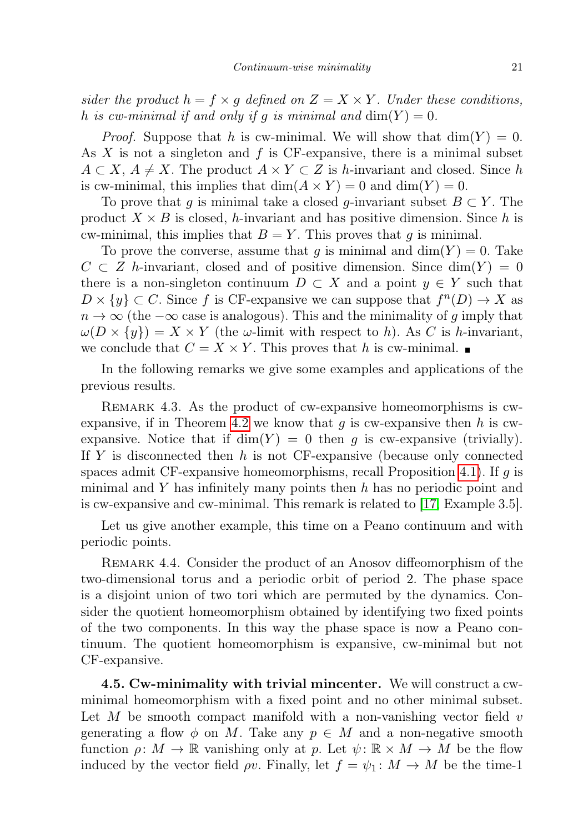sider the product  $h = f \times g$  defined on  $Z = X \times Y$ . Under these conditions, h is cw-minimal if and only if g is minimal and  $dim(Y) = 0$ .

*Proof.* Suppose that h is cw-minimal. We will show that  $\dim(Y) = 0$ . As  $X$  is not a singleton and  $f$  is CF-expansive, there is a minimal subset  $A \subset X$ ,  $A \neq X$ . The product  $A \times Y \subset Z$  is h-invariant and closed. Since h is cw-minimal, this implies that  $\dim(A \times Y) = 0$  and  $\dim(Y) = 0$ .

To prove that q is minimal take a closed q-invariant subset  $B \subset Y$ . The product  $X \times B$  is closed, h-invariant and has positive dimension. Since h is cw-minimal, this implies that  $B = Y$ . This proves that g is minimal.

To prove the converse, assume that g is minimal and  $\dim(Y) = 0$ . Take  $C \subset Z$  h-invariant, closed and of positive dimension. Since  $\dim(Y) = 0$ there is a non-singleton continuum  $D \subset X$  and a point  $y \in Y$  such that  $D \times \{y\} \subset C$ . Since f is CF-expansive we can suppose that  $f^{(n)}(D) \to X$  as  $n \to \infty$  (the  $-\infty$  case is analogous). This and the minimality of g imply that  $\omega(D \times \{y\}) = X \times Y$  (the  $\omega$ -limit with respect to h). As C is h-invariant, we conclude that  $C = X \times Y$ . This proves that h is cw-minimal.

In the following remarks we give some examples and applications of the previous results.

REMARK 4.3. As the product of cw-expansive homeomorphisms is cw-expansive, if in Theorem [4.2](#page-19-0) we know that q is cw-expansive then h is cwexpansive. Notice that if  $\dim(Y) = 0$  then q is cw-expansive (trivially). If Y is disconnected then h is not CF-expansive (because only connected spaces admit CF-expansive homeomorphisms, recall Proposition [4.1\)](#page-19-3). If  $q$  is minimal and Y has infinitely many points then  $h$  has no periodic point and is cw-expansive and cw-minimal. This remark is related to [\[17,](#page-24-4) Example 3.5].

Let us give another example, this time on a Peano continuum and with periodic points.

REMARK 4.4. Consider the product of an Anosov diffeomorphism of the two-dimensional torus and a periodic orbit of period 2. The phase space is a disjoint union of two tori which are permuted by the dynamics. Consider the quotient homeomorphism obtained by identifying two fixed points of the two components. In this way the phase space is now a Peano continuum. The quotient homeomorphism is expansive, cw-minimal but not CF-expansive.

<span id="page-20-0"></span>4.5. Cw-minimality with trivial mincenter. We will construct a cwminimal homeomorphism with a fixed point and no other minimal subset. Let M be smooth compact manifold with a non-vanishing vector field  $v$ generating a flow  $\phi$  on M. Take any  $p \in M$  and a non-negative smooth function  $\rho: M \to \mathbb{R}$  vanishing only at p. Let  $\psi: \mathbb{R} \times M \to M$  be the flow induced by the vector field  $\rho v$ . Finally, let  $f = \psi_1 : M \to M$  be the time-1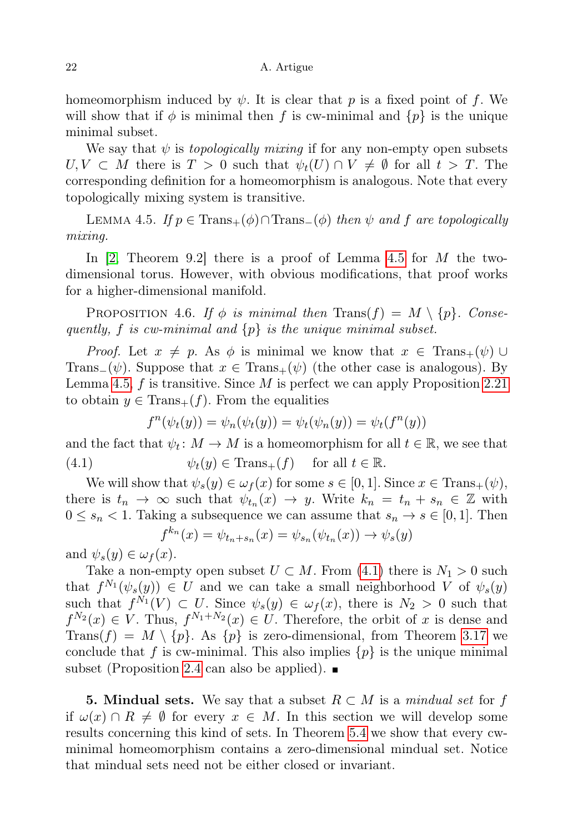#### 22 A. Artigue

homeomorphism induced by  $\psi$ . It is clear that p is a fixed point of f. We will show that if  $\phi$  is minimal then f is cw-minimal and  $\{p\}$  is the unique minimal subset.

We say that  $\psi$  is *topologically mixing* if for any non-empty open subsets  $U, V \subset M$  there is  $T > 0$  such that  $\psi_t(U) \cap V \neq \emptyset$  for all  $t > T$ . The corresponding definition for a homeomorphism is analogous. Note that every topologically mixing system is transitive.

<span id="page-21-1"></span>LEMMA 4.5. If  $p \in \text{Trans}_+(\phi) \cap \text{Trans}_-(\phi)$  then  $\psi$  and f are topologically mixing.

In  $[2,$  Theorem 9.2 there is a proof of Lemma [4.5](#page-21-1) for M the twodimensional torus. However, with obvious modifications, that proof works for a higher-dimensional manifold.

PROPOSITION 4.6. If  $\phi$  is minimal then  $\text{Trans}(f) = M \setminus \{p\}$ . Consequently, f is cw-minimal and  $\{p\}$  is the unique minimal subset.

*Proof.* Let  $x \neq p$ . As  $\phi$  is minimal we know that  $x \in \text{Trans}_{+}(\psi) \cup$ Trans<sub>−</sub>( $\psi$ ). Suppose that  $x \in \text{Trans}_+(\psi)$  (the other case is analogous). By Lemma [4.5,](#page-21-1) f is transitive. Since M is perfect we can apply Proposition [2.21](#page-7-3) to obtain  $y \in \text{Trans}_{+}(f)$ . From the equalities

<span id="page-21-2"></span>
$$
f^{n}(\psi_{t}(y)) = \psi_{n}(\psi_{t}(y)) = \psi_{t}(\psi_{n}(y)) = \psi_{t}(f^{n}(y))
$$

and the fact that  $\psi_t \colon M \to M$  is a homeomorphism for all  $t \in \mathbb{R}$ , we see that (4.1)  $\psi_t(y) \in \text{Trans}_+(f) \text{ for all } t \in \mathbb{R}.$ 

We will show that  $\psi_s(y) \in \omega_f(x)$  for some  $s \in [0, 1]$ . Since  $x \in \text{Trans}_+(\psi)$ , there is  $t_n \to \infty$  such that  $\psi_{t_n}(x) \to y$ . Write  $k_n = t_n + s_n \in \mathbb{Z}$  with  $0 \leq s_n < 1$ . Taking a subsequence we can assume that  $s_n \to s \in [0, 1]$ . Then  $f^{k_n}(x) = \psi_{t_n + s_n}(x) = \psi_{s_n}(\psi_{t_n}(x)) \to \psi_s(y)$ 

and  $\psi_s(y) \in \omega_f(x)$ .

Take a non-empty open subset  $U \subset M$ . From [\(4.1\)](#page-21-2) there is  $N_1 > 0$  such that  $f^{N_1}(\psi_s(y)) \in U$  and we can take a small neighborhood V of  $\psi_s(y)$ such that  $f^{N_1}(V) \subset U$ . Since  $\psi_s(y) \in \omega_f(x)$ , there is  $N_2 > 0$  such that  $f^{N_2}(x) \in V$ . Thus,  $f^{N_1+N_2}(x) \in U$ . Therefore, the orbit of x is dense and Trans $(f) = M \setminus \{p\}$ . As  $\{p\}$  is zero-dimensional, from Theorem [3.17](#page-14-1) we conclude that f is cw-minimal. This also implies  $\{p\}$  is the unique minimal subset (Proposition [2.4](#page-3-0) can also be applied).  $\blacksquare$ 

<span id="page-21-0"></span>**5. Mindual sets.** We say that a subset  $R \subset M$  is a mindual set for f if  $\omega(x) \cap R \neq \emptyset$  for every  $x \in M$ . In this section we will develop some results concerning this kind of sets. In Theorem [5.4](#page-22-0) we show that every cwminimal homeomorphism contains a zero-dimensional mindual set. Notice that mindual sets need not be either closed or invariant.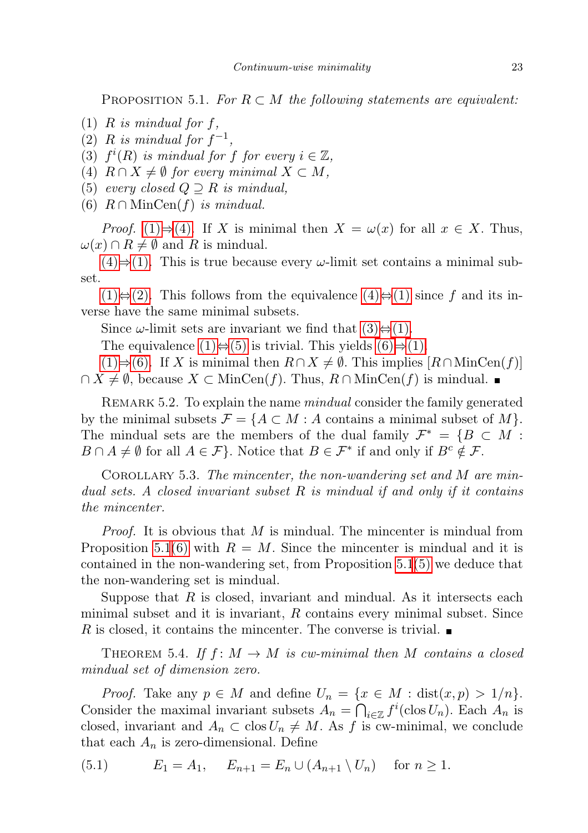<span id="page-22-7"></span>PROPOSITION 5.1. For  $R \subset M$  the following statements are equivalent:

- <span id="page-22-1"></span> $(1)$  R is mindual for f,
- <span id="page-22-3"></span>(2) R is mindual for  $f^{-1}$ ,
- <span id="page-22-4"></span>(3)  $f^i(R)$  is mindual for f for every  $i \in \mathbb{Z}$ ,
- <span id="page-22-2"></span>(4)  $R \cap X \neq \emptyset$  for every minimal  $X \subset M$ ,
- <span id="page-22-5"></span>(5) every closed  $Q \supseteq R$  is mindual,
- <span id="page-22-6"></span>(6)  $R \cap \text{MinCen}(f)$  is mindual.

*Proof.* [\(1\)](#page-22-1)⇒[\(4\).](#page-22-2) If X is minimal then  $X = \omega(x)$  for all  $x \in X$ . Thus,  $\omega(x) \cap R \neq \emptyset$  and R is mindual.

[\(4\)](#page-22-2)⇒[\(1\).](#page-22-1) This is true because every  $\omega$ -limit set contains a minimal subset.

 $(1)$ ⇔ $(2)$ . This follows from the equivalence  $(4)$ ⇔ $(1)$  since f and its inverse have the same minimal subsets.

Since  $\omega$ -limit sets are invariant we find that  $(3) \Leftrightarrow (1)$ .

The equivalence  $(1) \Leftrightarrow (5)$  $(1) \Leftrightarrow (5)$  is trivial. This yields  $(6) \Rightarrow (1)$  $(6) \Rightarrow (1)$ .

 $(1) \Rightarrow (6)$  $(1) \Rightarrow (6)$ . If X is minimal then  $R \cap X \neq \emptyset$ . This implies  $[R \cap \text{MinCen}(f)]$  $\cap X \neq \emptyset$ , because  $X \subset \text{MinCen}(f)$ . Thus,  $R \cap \text{MinCen}(f)$  is mindual.

REMARK 5.2. To explain the name *mindual* consider the family generated by the minimal subsets  $\mathcal{F} = \{A \subset M : A \text{ contains a minimal subset of } M\}.$ The mindual sets are the members of the dual family  $\mathcal{F}^* = \{B \subset M :$  $B \cap A \neq \emptyset$  for all  $A \in \mathcal{F}$ . Notice that  $B \in \mathcal{F}^*$  if and only if  $B^c \notin \mathcal{F}$ .

COROLLARY 5.3. The mincenter, the non-wandering set and M are mindual sets. A closed invariant subset R is mindual if and only if it contains the mincenter.

*Proof.* It is obvious that  $M$  is mindual. The mincenter is mindual from Proposition [5.1](#page-22-7)[\(6\)](#page-22-6) with  $R = M$ . Since the mincenter is mindual and it is contained in the non-wandering set, from Proposition [5.1](#page-22-7)[\(5\)](#page-22-5) we deduce that the non-wandering set is mindual.

Suppose that  $R$  is closed, invariant and mindual. As it intersects each minimal subset and it is invariant,  $R$  contains every minimal subset. Since R is closed, it contains the mincenter. The converse is trivial.  $\blacksquare$ 

<span id="page-22-0"></span>THEOREM 5.4. If  $f: M \to M$  is cw-minimal then M contains a closed mindual set of dimension zero.

*Proof.* Take any  $p \in M$  and define  $U_n = \{x \in M : dist(x, p) > 1/n\}.$ Consider the maximal invariant subsets  $A_n = \bigcap_{i \in \mathbb{Z}} f^i(\text{clos } U_n)$ . Each  $A_n$  is closed, invariant and  $A_n \subset \text{clos } U_n \neq M$ . As f is cw-minimal, we conclude that each  $A_n$  is zero-dimensional. Define

<span id="page-22-8"></span>(5.1) 
$$
E_1 = A_1, \quad E_{n+1} = E_n \cup (A_{n+1} \setminus U_n) \quad \text{for } n \ge 1.
$$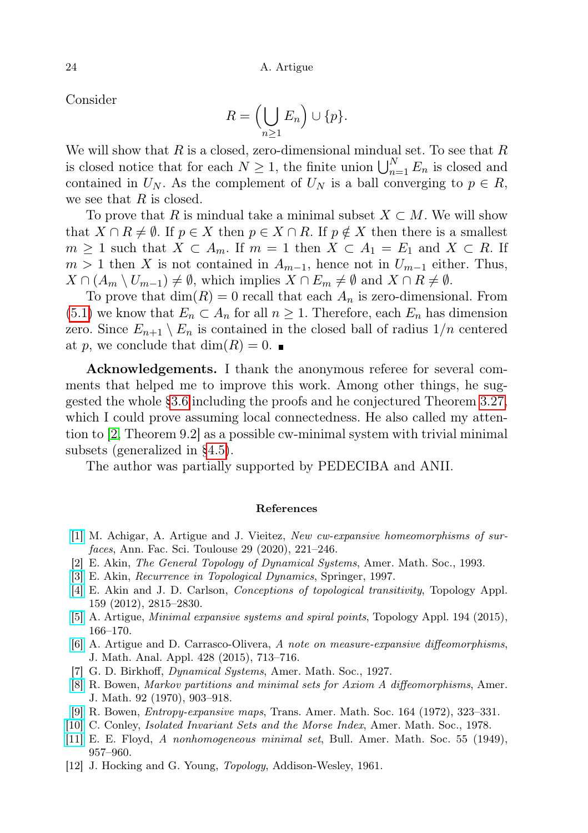Consider

$$
R = \left(\bigcup_{n\geq 1} E_n\right) \cup \{p\}.
$$

We will show that  $R$  is a closed, zero-dimensional mindual set. To see that  $R$ is closed notice that for each  $N \geq 1$ , the finite union  $\bigcup_{n=1}^{N} E_n$  is closed and contained in  $U_N$ . As the complement of  $U_N$  is a ball converging to  $p \in R$ , we see that  $R$  is closed.

To prove that R is mindual take a minimal subset  $X \subset M$ . We will show that  $X \cap R \neq \emptyset$ . If  $p \in X$  then  $p \in X \cap R$ . If  $p \notin X$  then there is a smallest  $m \geq 1$  such that  $X \subset A_m$ . If  $m = 1$  then  $X \subset A_1 = E_1$  and  $X \subset R$ . If  $m > 1$  then X is not contained in  $A_{m-1}$ , hence not in  $U_{m-1}$  either. Thus,  $X \cap (A_m \setminus U_{m-1}) \neq \emptyset$ , which implies  $X \cap E_m \neq \emptyset$  and  $X \cap R \neq \emptyset$ .

To prove that  $\dim(R) = 0$  recall that each  $A_n$  is zero-dimensional. From  $(5.1)$  we know that  $E_n \subset A_n$  for all  $n \geq 1$ . Therefore, each  $E_n$  has dimension zero. Since  $E_{n+1} \setminus E_n$  is contained in the closed ball of radius  $1/n$  centered at p, we conclude that  $\dim(R) = 0$ .

Acknowledgements. I thank the anonymous referee for several comments that helped me to improve this work. Among other things, he suggested the whole [§3.6](#page-14-0) including the proofs and he conjectured Theorem [3.27,](#page-17-0) which I could prove assuming local connectedness. He also called my attention to [\[2,](#page-23-11) Theorem 9.2] as a possible cw-minimal system with trivial minimal subsets (generalized in [§4.5\)](#page-20-0).

The author was partially supported by PEDECIBA and ANII.

#### References

- <span id="page-23-8"></span>[\[1\]](http://dx.doi.org/10.5802/afst.1630) M. Achigar, A. Artigue and J. Vieitez, New cw-expansive homeomorphisms of surfaces, Ann. Fac. Sci. Toulouse 29 (2020), 221–246.
- <span id="page-23-11"></span>[2] E. Akin, The General Topology of Dynamical Systems, Amer. Math. Soc., 1993.
- <span id="page-23-2"></span>[\[3\]](http://dx.doi.org/10.1007/978-1-4757-2668-8) E. Akin, Recurrence in Topological Dynamics, Springer, 1997.
- <span id="page-23-5"></span>[\[4\]](http://dx.doi.org/10.1016/j.topol.2012.04.016) E. Akin and J. D. Carlson, Conceptions of topological transitivity, Topology Appl. 159 (2012), 2815–2830.
- <span id="page-23-1"></span>[\[5\]](http://dx.doi.org/10.1016/j.topol.2015.08.018) A. Artigue, Minimal expansive systems and spiral points, Topology Appl. 194 (2015), 166–170.
- <span id="page-23-7"></span>[\[6\]](http://dx.doi.org/10.1016/j.jmaa.2015.02.052) A. Artigue and D. Carrasco-Olivera, A note on measure-expansive diffeomorphisms, J. Math. Anal. Appl. 428 (2015), 713–716.
- <span id="page-23-4"></span>[7] G. D. Birkhoff, Dynamical Systems, Amer. Math. Soc., 1927.
- <span id="page-23-0"></span>[\[8\]](http://dx.doi.org/10.2307/2373402) R. Bowen, Markov partitions and minimal sets for Axiom A diffeomorphisms, Amer. J. Math. 92 (1970), 903–918.
- <span id="page-23-6"></span>[\[9\]](http://dx.doi.org/10.1090/S0002-9947-1972-0285689-X) R. Bowen, Entropy-expansive maps, Trans. Amer. Math. Soc. 164 (1972), 323–331.
- <span id="page-23-9"></span>[\[10\]](http://dx.doi.org/10.1090/cbms/038) C. Conley, Isolated Invariant Sets and the Morse Index, Amer. Math. Soc., 1978.
- <span id="page-23-10"></span>[\[11\]](http://dx.doi.org/10.1090/S0002-9904-1949-09318-7) E. E. Floyd, A nonhomogeneous minimal set, Bull. Amer. Math. Soc. 55 (1949), 957–960.
- <span id="page-23-3"></span>[12] J. Hocking and G. Young, *Topology*, Addison-Wesley, 1961.